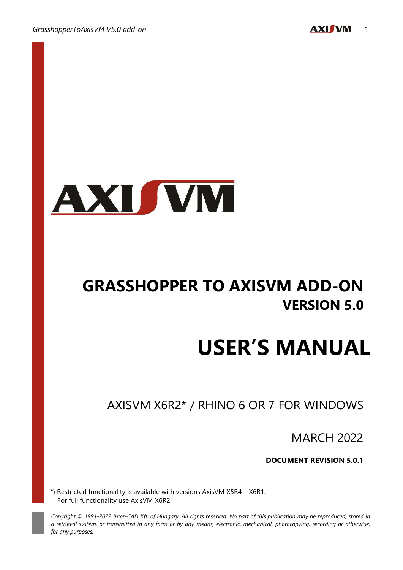

## **GRASSHOPPER TO AXISVM ADD-ON VERSION 5.0**

# **USER'S MANUAL**

## AXISVM X6R2\* / RHINO 6 OR 7 FOR WINDOWS

MARCH 2022

**DOCUMENT REVISION 5.0.1**

\*) Restricted functionality is available with versions AxisVM X5R4 – X6R1. For full functionality use AxisVM X6R2.

*Copyright © 1991-2022 Inter-CAD Kft. of Hungary. All rights reserved. No part of this publication may be reproduced, stored in a retrieval system, or transmitted in any form or by any means, electronic, mechanical, photocopying, recording or otherwise, for any purposes.*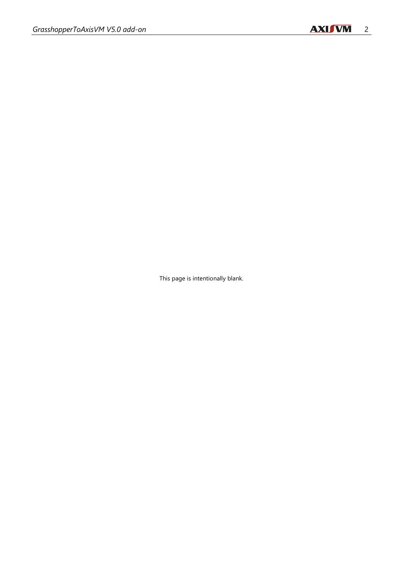This page is intentionally blank.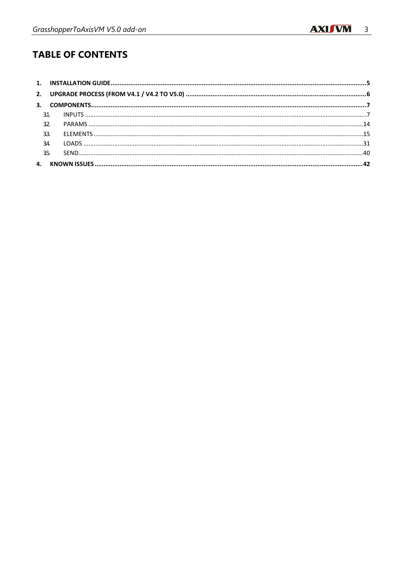## **TABLE OF CONTENTS**

| 32  |  |  |
|-----|--|--|
| 33  |  |  |
| 34  |  |  |
| 35. |  |  |
|     |  |  |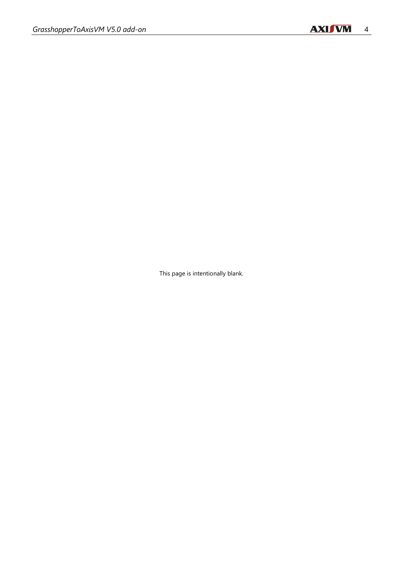This page is intentionally blank.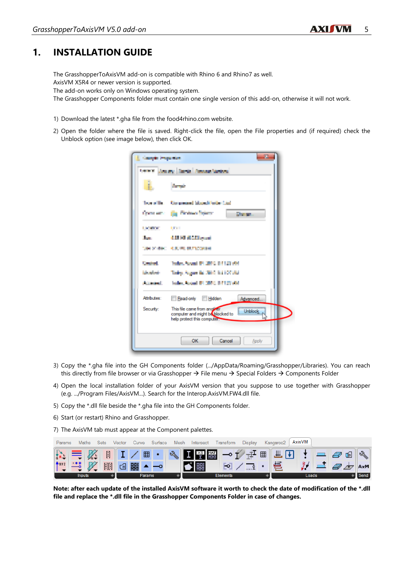### <span id="page-4-0"></span>**1. INSTALLATION GUIDE**

The GrasshopperToAxisVM add-on is compatible with Rhino 6 and Rhino7 as well. AxisVM X5R4 or newer version is supported.

The add-on works only on Windows operating system.

The Grasshopper Components folder must contain one single version of this add-on, otherwise it will not work.

- 1) Download the latest \*.gha file from the food4rhino.com website.
- 2) Open the folder where the file is saved. Right-click the file, open the File properties and (if required) check the Unblock option (see image below), then click OK.

| <b>Complete Programme</b> | m                                                                                                         |  |
|---------------------------|-----------------------------------------------------------------------------------------------------------|--|
|                           | Centre Source: Santa Stephen Stations                                                                     |  |
|                           | <b>Service</b>                                                                                            |  |
| <b>Second Barris</b>      | Comprehend Islams of Texture Card                                                                         |  |
| <b>Comment</b>            | <b>Else Picchings Topiczy</b><br><b>Charles</b>                                                           |  |
| <b>Lighting</b>           | <b>Links</b>                                                                                              |  |
| <b>Botto</b>              | <b>CERTIFICATE CONTROL</b>                                                                                |  |
|                           | THE PLANE HALF REPORTER                                                                                   |  |
| <b>Control</b>            | Technological IR (2010) 8-1323-004                                                                        |  |
| <b>Modelland</b>          | Today, Arguel Britain & MACCOM                                                                            |  |
| <b>All Artists</b>        | below to call \$1,0000, \$41,0000                                                                         |  |
| Attributes:               | Read-only Hidden<br>Advanced                                                                              |  |
| Security:                 | This file came from another<br>Unblock<br>computer and might be blocked to<br>help protect this computer. |  |
|                           | Cancel<br>ОК<br>Apply                                                                                     |  |

- 3) Copy the \*.gha file into the GH Components folder (.../AppData/Roaming/Grasshopper/Libraries). You can reach this directly from file browser or via Grasshopper → File menu → Special Folders → Components Folder
- 4) Open the local installation folder of your AxisVM version that you suppose to use together with Grasshopper (e.g. .../Program Files/AxisVM...). Search for the Interop.AxisVM.FW4.dll file.
- 5) Copy the \*.dll file beside the \*.gha file into the GH Components folder.
- 6) Start (or restart) Rhino and Grasshopper.
- 7) The AxisVM tab must appear at the Component palettes.



**Note: after each update of the installed AxisVM software it worth to check the date of modification of the \*.dll file and replace the \*.dll file in the Grasshopper Components Folder in case of changes.**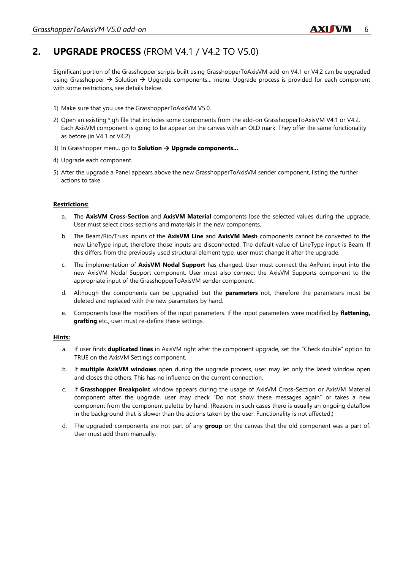### <span id="page-5-0"></span>**2. UPGRADE PROCESS** (FROM V4.1 / V4.2 TO V5.0)

Significant portion of the Grasshopper scripts built using GrasshopperToAxisVM add-on V4.1 or V4.2 can be upgraded using Grasshopper → Solution → Upgrade components… menu. Upgrade process is provided for each component with some restrictions, see details below.

- 1) Make sure that you use the GrasshopperToAxisVM V5.0.
- 2) Open an existing \*.gh file that includes some components from the add-on GrasshopperToAxisVM V4.1 or V4.2. Each AxisVM component is going to be appear on the canvas with an OLD mark. They offer the same functionality as before (in V4.1 or V4.2).
- 3) In Grasshopper menu, go to **Solution → Upgrade components...**
- 4) Upgrade each component.
- 5) After the upgrade a Panel appears above the new GrasshopperToAxisVM sender component, listing the further actions to take.

### **Restrictions:**

- a. The **AxisVM Cross-Section** and **AxisVM Material** components lose the selected values during the upgrade. User must select cross-sections and materials in the new components.
- b. The Beam/Rib/Truss inputs of the **AxisVM Line** and **AxisVM Mesh** components cannot be converted to the new LineType input, therefore those inputs are disconnected. The default value of LineType input is Beam. If this differs from the previously used structural element type, user must change it after the upgrade.
- c. The implementation of **AxisVM Nodal Support** has changed. User must connect the AxPoint input into the new AxisVM Nodal Support component. User must also connect the AxisVM Supports component to the appropriate input of the GrasshopperToAxisVM sender component.
- d. Although the components can be upgraded but the **parameters** not, therefore the parameters must be deleted and replaced with the new parameters by hand.
- e. Components lose the modifiers of the input parameters. If the input parameters were modified by **flattening, grafting** etc., user must re-define these settings.

### **Hints:**

- a. If user finds **duplicated lines** in AxisVM right after the component upgrade, set the "Check double" option to TRUE on the AxisVM Settings component.
- b. If **multiple AxisVM windows** open during the upgrade process, user may let only the latest window open and closes the others. This has no influence on the current connection.
- c. If **Grasshopper Breakpoint** window appears during the usage of AxisVM Cross-Section or AxisVM Material component after the upgrade, user may check "Do not show these messages again" or takes a new component from the component palette by hand. (Reason: in such cases there is usually an ongoing dataflow in the background that is slower than the actions taken by the user. Functionality is not affected.)
- d. The upgraded components are not part of any **group** on the canvas that the old component was a part of. User must add them manually.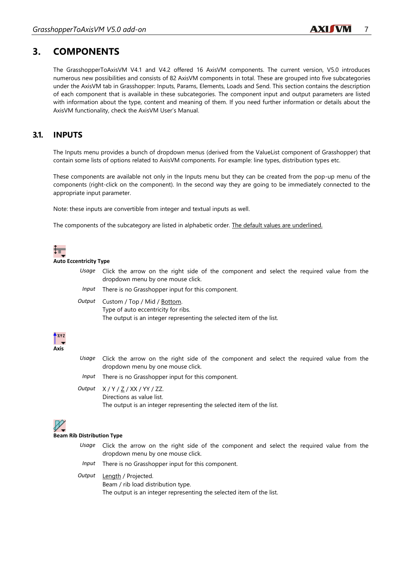### <span id="page-6-0"></span>**3. COMPONENTS**

The GrasshopperToAxisVM V4.1 and V4.2 offered 16 AxisVM components. The current version, V5.0 introduces numerous new possibilities and consists of 82 AxisVM components in total. These are grouped into five subcategories under the AxisVM tab in Grasshopper: Inputs, Params, Elements, Loads and Send. This section contains the description of each component that is available in these subcategories. The component input and output parameters are listed with information about the type, content and meaning of them. If you need further information or details about the AxisVM functionality, check the AxisVM User's Manual.

### <span id="page-6-1"></span>**3.1. INPUTS**

The Inputs menu provides a bunch of dropdown menus (derived from the ValueList component of Grasshopper) that contain some lists of options related to AxisVM components. For example: line types, distribution types etc.

These components are available not only in the Inputs menu but they can be created from the pop-up menu of the components (right-click on the component). In the second way they are going to be immediately connected to the appropriate input parameter.

Note: these inputs are convertible from integer and textual inputs as well.

The components of the subcategory are listed in alphabetic order. The default values are underlined.



### **Auto Eccentricity Type**

|        | Usage Click the arrow on the right side of the component and select the required value from the<br>dropdown menu by one mouse click.        |
|--------|---------------------------------------------------------------------------------------------------------------------------------------------|
| Input  | There is no Grasshopper input for this component.                                                                                           |
| Output | Custom / Top / Mid / Bottom.<br>Type of auto eccentricity for ribs.<br>The output is an integer representing the selected item of the list. |

### xvz **Axis**

- *Usage* Click the arrow on the right side of the component and select the required value from the dropdown menu by one mouse click.
- *Input* There is no Grasshopper input for this component.

*Output* X / Y / Z / XX / YY / ZZ. Directions as value list. The output is an integer representing the selected item of the list.



### **Beam Rib Distribution Type**

- *Usage* Click the arrow on the right side of the component and select the required value from the dropdown menu by one mouse click.
- *Input* There is no Grasshopper input for this component.

*Output* Length / Projected. Beam / rib load distribution type. The output is an integer representing the selected item of the list.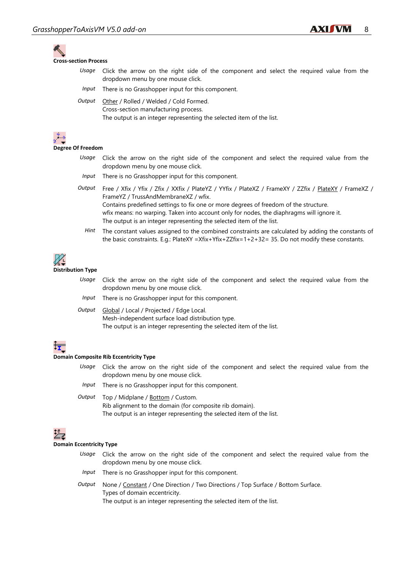| <b>Cross-section Process</b> |        |                                                                                                                                                        |
|------------------------------|--------|--------------------------------------------------------------------------------------------------------------------------------------------------------|
|                              | Usage  | Click the arrow on the right side of the component and select the required value from the<br>dropdown menu by one mouse click.                         |
|                              | Input  | There is no Grasshopper input for this component.                                                                                                      |
|                              | Output | Other / Rolled / Welded / Cold Formed.<br>Cross-section manufacturing process.<br>The output is an integer representing the selected item of the list. |
| ູ້ງ                          |        |                                                                                                                                                        |
| <b>Degree Of Freedom</b>     |        |                                                                                                                                                        |
|                              | Usage  | Click the arrow on the right side of the component and select the required value from the<br>dropdown menu by one mouse click.                         |

- *Input* There is no Grasshopper input for this component.
- *Output* Free / Xfix / Yfix / Zfix / XXfix / PlateYZ / YYfix / PlateXZ / FrameXY / ZZfix / PlateXY / FrameXZ / FrameYZ / TrussAndMembraneXZ / wfix. Contains predefined settings to fix one or more degrees of freedom of the structure. wfix means: no warping. Taken into account only for nodes, the diaphragms will ignore it. The output is an integer representing the selected item of the list.
	- *Hint* The constant values assigned to the combined constraints are calculated by adding the constants of the basic constraints. E.g.: PlateXY =Xfix+Yfix+ZZfix=1+2+32= 35. Do not modify these constants.



*Usage* Click the arrow on the right side of the component and select the required value from the dropdown menu by one mouse click.

- *Input* There is no Grasshopper input for this component.
- *Output* Global / Local / Projected / Edge Local. Mesh-independent surface load distribution type. The output is an integer representing the selected item of the list.



### **Domain Composite Rib Eccentricity Type**

- *Usage* Click the arrow on the right side of the component and select the required value from the dropdown menu by one mouse click.
- *Input* There is no Grasshopper input for this component.
- *Output* Top / Midplane / Bottom / Custom. Rib alignment to the domain (for composite rib domain). The output is an integer representing the selected item of the list.



### **Domain Eccentricity Type**

- *Usage* Click the arrow on the right side of the component and select the required value from the dropdown menu by one mouse click.
- *Input* There is no Grasshopper input for this component.
- *Output* None / Constant / One Direction / Two Directions / Top Surface / Bottom Surface. Types of domain eccentricity. The output is an integer representing the selected item of the list.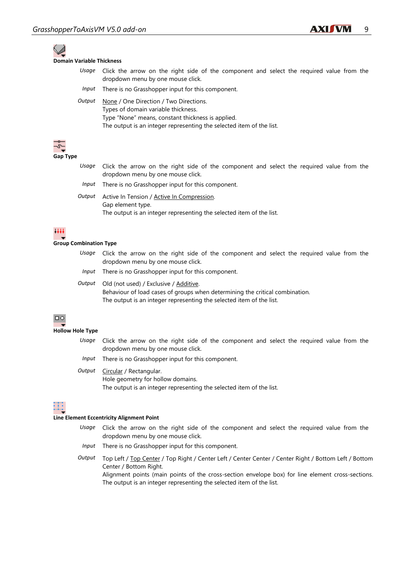### **Domain Variable Thickness**

| Usage  | Click the arrow on the right side of the component and select the required value from the<br>dropdown menu by one mouse click.                                                                             |
|--------|------------------------------------------------------------------------------------------------------------------------------------------------------------------------------------------------------------|
| Input  | There is no Grasshopper input for this component.                                                                                                                                                          |
| Output | None / One Direction / Two Directions.<br>Types of domain variable thickness.<br>Type "None" means, constant thickness is applied.<br>The output is an integer representing the selected item of the list. |



**Gap Type**

| Usage  | Click the arrow on the right side of the component and select the required value from the<br>dropdown menu by one mouse click.          |
|--------|-----------------------------------------------------------------------------------------------------------------------------------------|
| Input  | There is no Grasshopper input for this component.                                                                                       |
| Output | Active In Tension / Active In Compression.<br>Gap element type.<br>The output is an integer representing the selected item of the list. |

### **Group Combination Type**

- *Usage* Click the arrow on the right side of the component and select the required value from the dropdown menu by one mouse click.
- *Input* There is no Grasshopper input for this component.
- *Output* Old (not used) / Exclusive / Additive. Behaviour of load cases of groups when determining the critical combination. The output is an integer representing the selected item of the list.

### $\Box$

### **Hollow Hole Type**

- *Usage* Click the arrow on the right side of the component and select the required value from the dropdown menu by one mouse click.
- *Input* There is no Grasshopper input for this component.
- Output Circular / Rectangular. Hole geometry for hollow domains. The output is an integer representing the selected item of the list.



### **Line Element Eccentricity Alignment Point**

- *Usage* Click the arrow on the right side of the component and select the required value from the dropdown menu by one mouse click.
- *Input* There is no Grasshopper input for this component.

*Output* Top Left / Top Center / Top Right / Center Left / Center Center / Center Right / Bottom Left / Bottom Center / Bottom Right. Alignment points (main points of the cross-section envelope box) for line element cross-sections. The output is an integer representing the selected item of the list.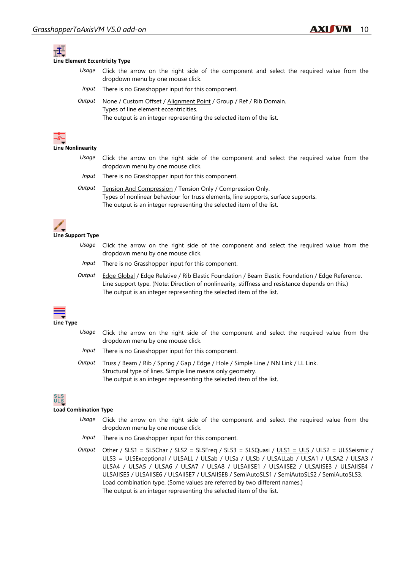| Line Element Eccentricity Type |                                                                                                                                                                                     |
|--------------------------------|-------------------------------------------------------------------------------------------------------------------------------------------------------------------------------------|
| Usage                          | Click the arrow on the right side of the component and select the required value from the<br>dropdown menu by one mouse click.                                                      |
| Input                          | There is no Grasshopper input for this component.                                                                                                                                   |
| Output                         | None / Custom Offset / Alignment Point / Group / Ref / Rib Domain.<br>Types of line element eccentricities.<br>The output is an integer representing the selected item of the list. |



**College** 

- *Usage* Click the arrow on the right side of the component and select the required value from the dropdown menu by one mouse click.
- *Input* There is no Grasshopper input for this component.
- *Output* Tension And Compression / Tension Only / Compression Only. Types of nonlinear behaviour for truss elements, line supports, surface supports. The output is an integer representing the selected item of the list.



### **Line Support Type**

- *Usage* Click the arrow on the right side of the component and select the required value from the dropdown menu by one mouse click.
- *Input* There is no Grasshopper input for this component.
- *Output* Edge Global / Edge Relative / Rib Elastic Foundation / Beam Elastic Foundation / Edge Reference. Line support type. (Note: Direction of nonlinearity, stiffness and resistance depends on this.) The output is an integer representing the selected item of the list.



- - *Usage* Click the arrow on the right side of the component and select the required value from the dropdown menu by one mouse click.
	- *Input* There is no Grasshopper input for this component.
	- *Output* Truss / Beam / Rib / Spring / Gap / Edge / Hole / Simple Line / NN Link / LL Link. Structural type of lines. Simple line means only geometry. The output is an integer representing the selected item of the list.

### SLS<br>ULS

### **Load Combination Type**

- *Usage* Click the arrow on the right side of the component and select the required value from the dropdown menu by one mouse click.
- *Input* There is no Grasshopper input for this component.
- *Output* Other / SLS1 = SLSChar / SLS2 = SLSFreq / SLS3 = SLSQuasi / ULS1 = ULS / ULS2 = ULSSeismic / ULS3 = ULSExceptional / ULSALL / ULSab / ULSa / ULSb / ULSALLab / ULSA1 / ULSA2 / ULSA3 / ULSA4 / ULSA5 / ULSA6 / ULSA7 / ULSA8 / ULSAIISE1 / ULSAIISE2 / ULSAIISE3 / ULSAIISE4 / ULSAIISE5 / ULSAIISE6 / ULSAIISE7 / ULSAIISE8 / SemiAutoSLS1 / SemiAutoSLS2 / SemiAutoSLS3. Load combination type. (Some values are referred by two different names.) The output is an integer representing the selected item of the list.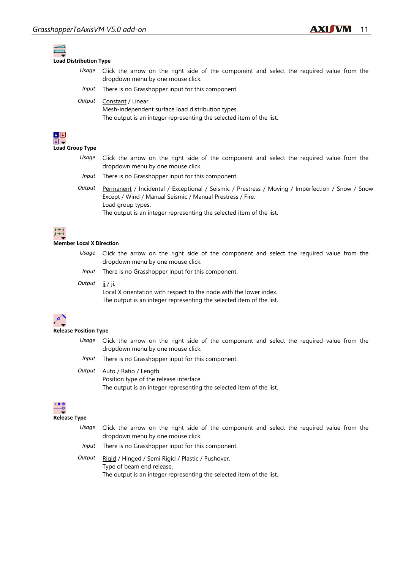| <b>Load Distribution Type</b> |                                                                                                                                                                                           |
|-------------------------------|-------------------------------------------------------------------------------------------------------------------------------------------------------------------------------------------|
| Usage                         | Click the arrow on the right side of the component and select the required value from the<br>dropdown menu by one mouse click.                                                            |
| Input                         | There is no Grasshopper input for this component.                                                                                                                                         |
| Output                        | Constant / Linear.<br>Mesh-independent surface load distribution types.<br>The output is an integer representing the selected item of the list.                                           |
| u⊞<br>DV<br>Load Group Type   |                                                                                                                                                                                           |
| Usage                         | Click the arrow on the right side of the component and select the required value from the<br>dropdown menu by one mouse click.                                                            |
| Input                         | There is no Grasshopper input for this component.                                                                                                                                         |
| Output                        | <u>Permanent</u> / Incidental / Exceptional / Seismic / Prestress / Moving / Imperfection / Snow / Snow<br>Except / Wind / Manual Seismic / Manual Prestress / Fire.<br>Load group types. |

### **Member Local X Direction**

- *Usage* Click the arrow on the right side of the component and select the required value from the dropdown menu by one mouse click.
- *Input* There is no Grasshopper input for this component.
- *Output* ij / ji.

Local X orientation with respect to the node with the lower index. The output is an integer representing the selected item of the list.

The output is an integer representing the selected item of the list.



### **Release Position Type**

- *Usage* Click the arrow on the right side of the component and select the required value from the dropdown menu by one mouse click.
- *Input* There is no Grasshopper input for this component.
- *Output* Auto / Ratio / Length. Position type of the release interface. The output is an integer representing the selected item of the list.



**Release Type**

- *Usage* Click the arrow on the right side of the component and select the required value from the dropdown menu by one mouse click. *Input* There is no Grasshopper input for this component.
- Output Rigid / Hinged / Semi Rigid / Plastic / Pushover. Type of beam end release. The output is an integer representing the selected item of the list.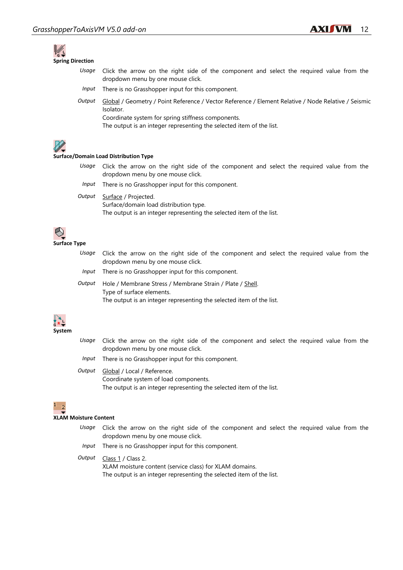ж

| ▓▓                      |                                                                                                                                                                                                                                                |
|-------------------------|------------------------------------------------------------------------------------------------------------------------------------------------------------------------------------------------------------------------------------------------|
| <b>Spring Direction</b> |                                                                                                                                                                                                                                                |
| Usage                   | Click the arrow on the right side of the component and select the required value from the<br>dropdown menu by one mouse click.                                                                                                                 |
| Input                   | There is no Grasshopper input for this component.                                                                                                                                                                                              |
| Output                  | Global / Geometry / Point Reference / Vector Reference / Element Relative / Node Relative / Seismic<br>Isolator.<br>Coordinate system for spring stiffness components.<br>The output is an integer representing the selected item of the list. |
| $ \sim$                 |                                                                                                                                                                                                                                                |

### **Surface/Domain Load Distribution Type**

|                                                                |  |  |  |  |  |  | Usage Click the arrow on the right side of the component and select the required value from the |  |  |  |  |
|----------------------------------------------------------------|--|--|--|--|--|--|-------------------------------------------------------------------------------------------------|--|--|--|--|
| dropdown menu by one mouse click.                              |  |  |  |  |  |  |                                                                                                 |  |  |  |  |
| <i>Input</i> There is no Grasshopper input for this component. |  |  |  |  |  |  |                                                                                                 |  |  |  |  |

**Output Surface** / Projected. Surface/domain load distribution type. The output is an integer representing the selected item of the list.



### **Surface Type**

- *Usage* Click the arrow on the right side of the component and select the required value from the dropdown menu by one mouse click. *Input* There is no Grasshopper input for this component.
- *Output* Hole / Membrane Stress / Membrane Strain / Plate / Shell. Type of surface elements. The output is an integer representing the selected item of the list.



- *Usage* Click the arrow on the right side of the component and select the required value from the dropdown menu by one mouse click.
- *Input* There is no Grasshopper input for this component.
- *Output* Global / Local / Reference. Coordinate system of load components. The output is an integer representing the selected item of the list.



### **XLAM Moisture Content**

- *Usage* Click the arrow on the right side of the component and select the required value from the dropdown menu by one mouse click.
	- *Input* There is no Grasshopper input for this component.
- *Output* Class 1 / Class 2. XLAM moisture content (service class) for XLAM domains. The output is an integer representing the selected item of the list.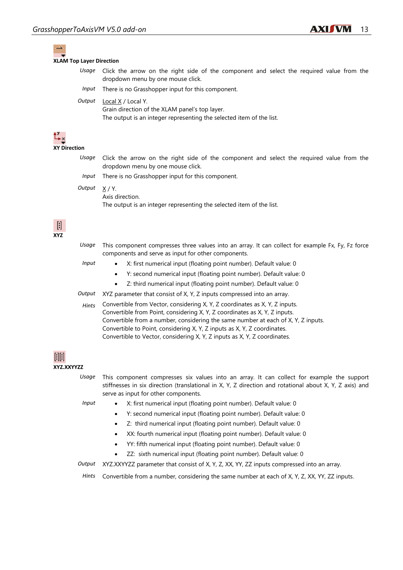| <b>XLAM Top Layer Direction</b>    |                                                                                                                                                          |  |  |  |  |  |  |  |
|------------------------------------|----------------------------------------------------------------------------------------------------------------------------------------------------------|--|--|--|--|--|--|--|
| Usage                              | Click the arrow on the right side of the component and select the required value from the<br>dropdown menu by one mouse click.                           |  |  |  |  |  |  |  |
| Input                              | There is no Grasshopper input for this component.                                                                                                        |  |  |  |  |  |  |  |
| Output                             | Local X / Local Y.<br>Grain direction of the XLAM panel's top layer.<br>The output is an integer representing the selected item of the list.             |  |  |  |  |  |  |  |
| <b>XY Direction</b>                |                                                                                                                                                          |  |  |  |  |  |  |  |
|                                    |                                                                                                                                                          |  |  |  |  |  |  |  |
| Usage                              | Click the arrow on the right side of the component and select the required value from the<br>dropdown menu by one mouse click.                           |  |  |  |  |  |  |  |
| Input                              | There is no Grasshopper input for this component.                                                                                                        |  |  |  |  |  |  |  |
| Output                             | $X/Y$ .<br>Axis direction.<br>The output is an integer representing the selected item of the list.                                                       |  |  |  |  |  |  |  |
| $\left[\cdot\right]$<br><b>XYZ</b> |                                                                                                                                                          |  |  |  |  |  |  |  |
| Usage                              | This component compresses three values into an array. It can collect for example Fx, Fy, Fz force<br>components and serve as input for other components. |  |  |  |  |  |  |  |
| Input                              | X: first numerical input (floating point number). Default value: 0<br>$\bullet$                                                                          |  |  |  |  |  |  |  |
|                                    | Y: second numerical input (floating point number). Default value: 0                                                                                      |  |  |  |  |  |  |  |
|                                    |                                                                                                                                                          |  |  |  |  |  |  |  |
|                                    | Z: third numerical input (floating point number). Default value: 0                                                                                       |  |  |  |  |  |  |  |
| Output                             | XYZ parameter that consist of X, Y, Z inputs compressed into an array.                                                                                   |  |  |  |  |  |  |  |

*Hints* Convertible from Vector, considering X, Y, Z coordinates as X, Y, Z inputs. Convertible from Point, considering X, Y, Z coordinates as X, Y, Z inputs. Convertible from a number, considering the same number at each of X, Y, Z inputs. Convertible to Point, considering X, Y, Z inputs as X, Y, Z coordinates. Convertible to Vector, considering X, Y, Z inputs as X, Y, Z coordinates.

### $[1]$ **XYZ.XXYYZZ**

*Usage* This component compresses six values into an array. It can collect for example the support stiffnesses in six direction (translational in X, Y, Z direction and rotational about X, Y, Z axis) and serve as input for other components.

- *Input* X: first numerical input (floating point number). Default value: 0
	- Y: second numerical input (floating point number). Default value: 0
	- Z: third numerical input (floating point number). Default value: 0
	- XX: fourth numerical input (floating point number). Default value: 0
	- YY: fifth numerical input (floating point number). Default value: 0
	- ZZ: sixth numerical input (floating point number). Default value: 0

*Output* XYZ.XXYYZZ parameter that consist of X, Y, Z, XX, YY, ZZ inputs compressed into an array.

*Hints* Convertible from a number, considering the same number at each of X, Y, Z, XX, YY, ZZ inputs.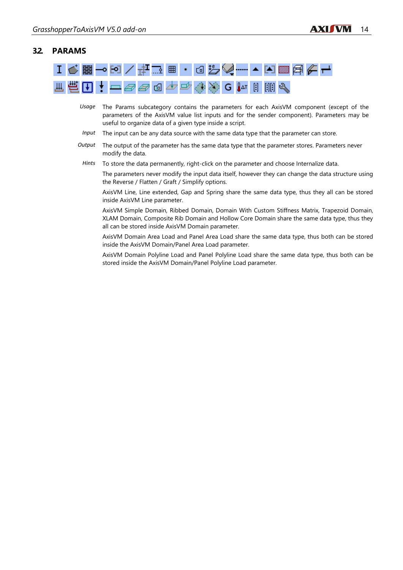### <span id="page-13-0"></span>**3.2. PARAMS**



the Reverse / Flatten / Graft / Simplify options.

- *Usage* The Params subcategory contains the parameters for each AxisVM component (except of the parameters of the AxisVM value list inputs and for the sender component). Parameters may be useful to organize data of a given type inside a script.
- *Input* The input can be any data source with the same data type that the parameter can store.
- *Output* The output of the parameter has the same data type that the parameter stores. Parameters never modify the data.
- *Hints* To store the data permanently, right-click on the parameter and choose Internalize data. The parameters never modify the input data itself, however they can change the data structure using

AxisVM Line, Line extended, Gap and Spring share the same data type, thus they all can be stored inside AxisVM Line parameter.

AxisVM Simple Domain, Ribbed Domain, Domain With Custom Stiffness Matrix, Trapezoid Domain, XLAM Domain, Composite Rib Domain and Hollow Core Domain share the same data type, thus they all can be stored inside AxisVM Domain parameter.

AxisVM Domain Area Load and Panel Area Load share the same data type, thus both can be stored inside the AxisVM Domain/Panel Area Load parameter.

AxisVM Domain Polyline Load and Panel Polyline Load share the same data type, thus both can be stored inside the AxisVM Domain/Panel Polyline Load parameter.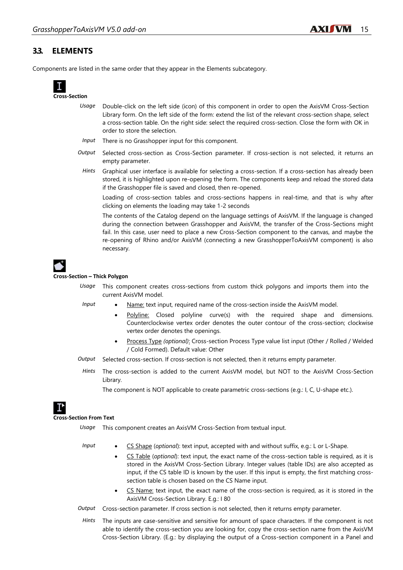### <span id="page-14-0"></span>**3.3. ELEMENTS**

Components are listed in the same order that they appear in the Elements subcategory.



- *Usage* Double-click on the left side (icon) of this component in order to open the AxisVM Cross-Section Library form. On the left side of the form: extend the list of the relevant cross-section shape, select a cross-section table. On the right side: select the required cross-section. Close the form with OK in order to store the selection.
- *Input* There is no Grasshopper input for this component.
- *Output* Selected cross-section as Cross-Section parameter. If cross-section is not selected, it returns an empty parameter.
- *Hints* Graphical user interface is available for selecting a cross-section. If a cross-section has already been stored, it is highlighted upon re-opening the form. The components keep and reload the stored data if the Grasshopper file is saved and closed, then re-opened.

Loading of cross-section tables and cross-sections happens in real-time, and that is why after clicking on elements the loading may take 1-2 seconds

The contents of the Catalog depend on the language settings of AxisVM. If the language is changed during the connection between Grasshopper and AxisVM, the transfer of the Cross-Sections might fail. In this case, user need to place a new Cross-Section component to the canvas, and maybe the re-opening of Rhino and/or AxisVM (connecting a new GrasshopperToAxisVM component) is also necessary.



### **Cross-Section – Thick Polygon**

*Usage* This component creates cross-sections from custom thick polygons and imports them into the current AxisVM model.

- *Input* Name: text input, required name of the cross-section inside the AxisVM model.
	- Polyline: Closed polyline curve(s) with the required shape and dimensions. Counterclockwise vertex order denotes the outer contour of the cross-section; clockwise vertex order denotes the openings.
	- Process Type *(optional)*: Cross-section Process Type value list input (Other / Rolled / Welded / Cold Formed). Default value: Other
- *Output* Selected cross-section. If cross-section is not selected, then it returns empty parameter.
- *Hints* The cross-section is added to the current AxisVM model, but NOT to the AxisVM Cross-Section Library.

The component is NOT applicable to create parametric cross-sections (e.g.: I, C, U-shape etc.).



### **Cross-Section From Text**

*Usage* This component creates an AxisVM Cross-Section from textual input.

- *Input* CS Shape (*optional*): text input, accepted with and without suffix, e.g.: L or L-Shape.
	- CS Table (*optional*): text input, the exact name of the cross-section table is required, as it is stored in the AxisVM Cross-Section Library. Integer values (table IDs) are also accepted as input, if the CS table ID is known by the user. If this input is empty, the first matching crosssection table is chosen based on the CS Name input.
	- CS Name: text input, the exact name of the cross-section is required, as it is stored in the AxisVM Cross-Section Library. E.g.: I 80
- *Output* Cross-section parameter. If cross section is not selected, then it returns empty parameter.
- *Hints* The inputs are case-sensitive and sensitive for amount of space characters. If the component is not able to identify the cross-section you are looking for, copy the cross-section name from the AxisVM Cross-Section Library. (E.g.: by displaying the output of a Cross-section component in a Panel and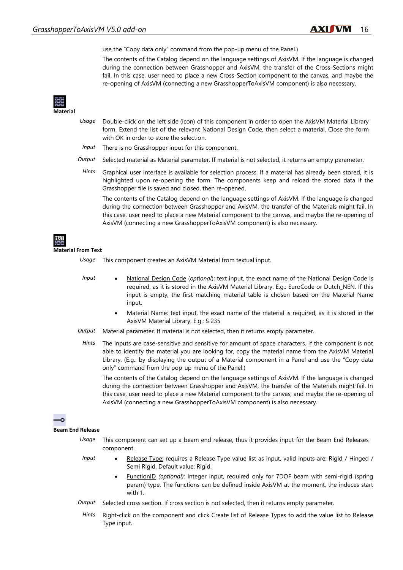use the "Copy data only" command from the pop-up menu of the Panel.)

The contents of the Catalog depend on the language settings of AxisVM. If the language is changed during the connection between Grasshopper and AxisVM, the transfer of the Cross-Sections might fail. In this case, user need to place a new Cross-Section component to the canvas, and maybe the re-opening of AxisVM (connecting a new GrasshopperToAxisVM component) is also necessary.



- *Usage* Double-click on the left side (icon) of this component in order to open the AxisVM Material Library form. Extend the list of the relevant National Design Code, then select a material. Close the form with OK in order to store the selection.
- *Input* There is no Grasshopper input for this component.
- *Output* Selected material as Material parameter. If material is not selected, it returns an empty parameter.
- *Hints* Graphical user interface is available for selection process. If a material has already been stored, it is highlighted upon re-opening the form. The components keep and reload the stored data if the Grasshopper file is saved and closed, then re-opened.

The contents of the Catalog depend on the language settings of AxisVM. If the language is changed during the connection between Grasshopper and AxisVM, the transfer of the Materials might fail. In this case, user need to place a new Material component to the canvas, and maybe the re-opening of AxisVM (connecting a new GrasshopperToAxisVM component) is also necessary.



#### **Material From Text**

*Usage* This component creates an AxisVM Material from textual input.

- *Input* National Design Code (*optional*): text input, the exact name of the National Design Code is required, as it is stored in the AxisVM Material Library. E.g.: EuroCode or Dutch\_NEN. If this input is empty, the first matching material table is chosen based on the Material Name input.
	- Material Name: text input, the exact name of the material is required, as it is stored in the AxisVM Material Library. E.g.: S 235
- *Output* Material parameter. If material is not selected, then it returns empty parameter.
	- *Hints* The inputs are case-sensitive and sensitive for amount of space characters. If the component is not able to identify the material you are looking for, copy the material name from the AxisVM Material Library. (E.g.: by displaying the output of a Material component in a Panel and use the "Copy data only" command from the pop-up menu of the Panel.)

The contents of the Catalog depend on the language settings of AxisVM. If the language is changed during the connection between Grasshopper and AxisVM, the transfer of the Materials might fail. In this case, user need to place a new Material component to the canvas, and maybe the re-opening of AxisVM (connecting a new GrasshopperToAxisVM component) is also necessary.

### **Beam End Release**

- *Usage* This component can set up a beam end release, thus it provides input for the Beam End Releases component.
- *Input* Release Type: requires a Release Type value list as input, valid inputs are: Rigid / Hinged / Semi Rigid. Default value: Rigid.
	- FunctionID *(optional):* integer input, required only for 7DOF beam with semi-rigid (spring param) type. The functions can be defined inside AxisVM at the moment, the indeces start with 1.
- *Output* Selected cross section. If cross section is not selected, then it returns empty parameter.
	- *Hints* Right-click on the component and click Create list of Release Types to add the value list to Release Type input.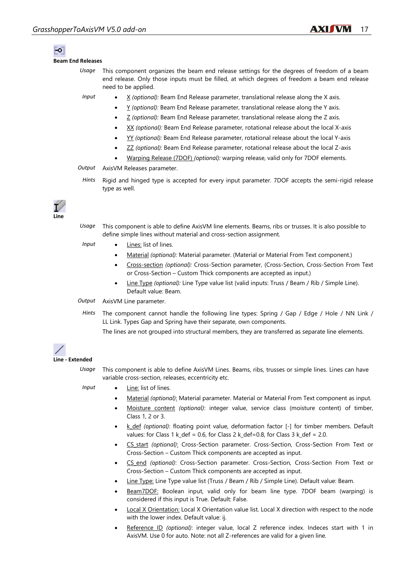### **Beam End Releases**

*Usage* This component organizes the beam end release settings for the degrees of freedom of a beam end release. Only those inputs must be filled, at which degrees of freedom a beam end release need to be applied.

- *Input*  $\angle$  *(optional):* Beam End Release parameter, translational release along the X axis.
	- Y *(optional):* Beam End Release parameter, translational release along the Y axis.
	- Z *(optional):* Beam End Release parameter, translational release along the Z axis.
	- XX *(optional):* Beam End Release parameter, rotational release about the local X-axis
	- YY *(optional):* Beam End Release parameter, rotational release about the local Y-axis
	- ZZ *(optional):* Beam End Release parameter, rotational release about the local Z-axis
	- Warping Release (7DOF) *(optional):* warping release, valid only for 7DOF elements.
- *Output* AxisVM Releases parameter.
- *Hints* Rigid and hinged type is accepted for every input parameter. 7DOF accepts the semi-rigid release type as well.



- *Usage* This component is able to define AxisVM line elements. Beams, ribs or trusses. It is also possible to define simple lines without material and cross-section assignment.
- *Input* Lines: list of lines.
	- Material *(optional):* Material parameter. (Material or Material From Text component.)
	- Cross-section *(optional):* Cross-Section parameter, (Cross-Section, Cross-Section From Text or Cross-Section – Custom Thick components are accepted as input.)
	- Line Type *(optional):* Line Type value list (valid inputs: Truss / Beam / Rib / Simple Line). Default value: Beam.
- *Output* AxisVM Line parameter.
- *Hints* The component cannot handle the following line types: Spring / Gap / Edge / Hole / NN Link / LL Link. Types Gap and Spring have their separate, own components.

The lines are not grouped into structural members, they are transferred as separate line elements.



### **Line - Extended**

*Usage* This component is able to define AxisVM Lines. Beams, ribs, trusses or simple lines. Lines can have variable cross-section, releases, eccentricity etc.

*Input* • **Line:** list of lines.

- Material *(optional)*: Material parameter. Material or Material From Text component as input.
- Moisture content *(optional)*: integer value, service class (moisture content) of timber, Class 1, 2 or 3.
- k\_def *(optional)*: floating point value, deformation factor [-] for timber members. Default values: for Class 1 k def = 0.6, for Class 2 k def=0.8, for Class 3 k def = 2.0.
- CS\_start *(optional)*: Cross-Section parameter. Cross-Section, Cross-Section From Text or Cross-Section – Custom Thick components are accepted as input.
- CS\_end *(optional)*: Cross-Section parameter. Cross-Section, Cross-Section From Text or Cross-Section – Custom Thick components are accepted as input.
- Line Type: Line Type value list (Truss / Beam / Rib / Simple Line). Default value: Beam.
- Beam7DOF: Boolean input, valid only for beam line type. 7DOF beam (warping) is considered if this input is True. Default: False.
- **Local X Orientation: Local X Orientation value list. Local X direction with respect to the node** with the lower index. Default value: ij.
- Reference ID *(optional)*: integer value, local Z reference index. Indeces start with 1 in AxisVM. Use 0 for auto. Note: not all Z-references are valid for a given line.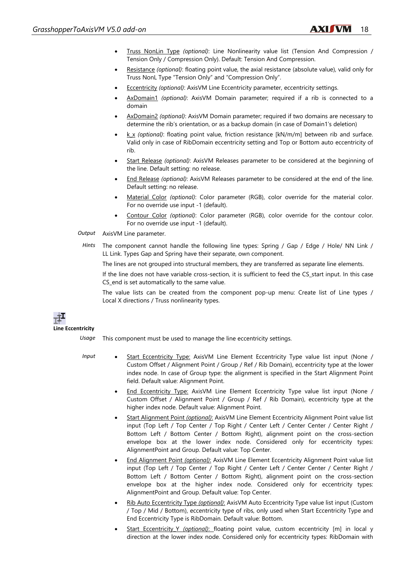- Truss NonLin Type *(optional)*: Line Nonlinearity value list (Tension And Compression / Tension Only / Compression Only). Default: Tension And Compression.
- Resistance *(optional)*: floating point value, the axial resistance (absolute value), valid only for Truss NonL Type "Tension Only" and "Compression Only".
- Eccentricity *(optional)*: AxisVM Line Eccentricity parameter, eccentricity settings.
- AxDomain1 *(optional)*: AxisVM Domain parameter; required if a rib is connected to a domain
- AxDomain2 *(optional)*: AxisVM Domain parameter; required if two domains are necessary to determine the rib's orientation, or as a backup domain (in case of Domain1's deletion)
- k\_x *(optional)*: floating point value, friction resistance [kN/m/m] between rib and surface. Valid only in case of RibDomain eccentricity setting and Top or Bottom auto eccentricity of rib.
- Start Release *(optional)*: AxisVM Releases parameter to be considered at the beginning of the line. Default setting: no release.
- End Release *(optional)*: AxisVM Releases parameter to be considered at the end of the line. Default setting: no release.
- Material Color *(optional)*: Color parameter (RGB), color override for the material color. For no override use input -1 (default).
- Contour Color *(optional)*: Color parameter (RGB), color override for the contour color. For no override use input -1 (default).
- *Output* AxisVM Line parameter.
- *Hints* The component cannot handle the following line types: Spring / Gap / Edge / Hole/ NN Link / LL Link. Types Gap and Spring have their separate, own component.

The lines are not grouped into structural members, they are transferred as separate line elements.

If the line does not have variable cross-section, it is sufficient to feed the CS\_start input. In this case CS\_end is set automatically to the same value.

The value lists can be created from the component pop-up menu: Create list of Line types / Local X directions / Truss nonlinearity types.



*Usage* This component must be used to manage the line eccentricity settings.

- *Input* Start Eccentricity Type: AxisVM Line Element Eccentricity Type value list input (None / Custom Offset / Alignment Point / Group / Ref / Rib Domain), eccentricity type at the lower index node. In case of Group type: the alignment is specified in the Start Alignment Point field. Default value: Alignment Point.
	- End Eccentricity Type: AxisVM Line Element Eccentricity Type value list input (None / Custom Offset / Alignment Point / Group / Ref / Rib Domain), eccentricity type at the higher index node. Default value: Alignment Point.
	- Start Alignment Point *(optional)*: AxisVM Line Element Eccentricity Alignment Point value list input (Top Left / Top Center / Top Right / Center Left / Center Center / Center Right / Bottom Left / Bottom Center / Bottom Right), alignment point on the cross-section envelope box at the lower index node. Considered only for eccentricity types: AlignmentPoint and Group. Default value: Top Center.
	- End Alignment Point *(optional)*: AxisVM Line Element Eccentricity Alignment Point value list input (Top Left / Top Center / Top Right / Center Left / Center Center / Center Right / Bottom Left / Bottom Center / Bottom Right), alignment point on the cross-section envelope box at the higher index node. Considered only for eccentricity types: AlignmentPoint and Group. Default value: Top Center.
	- Rib Auto Eccentricity Type *(optional)*: AxisVM Auto Eccentricity Type value list input (Custom / Top / Mid / Bottom), eccentricity type of ribs, only used when Start Eccentricity Type and End Eccentricity Type is RibDomain. Default value: Bottom.
	- Start Eccentricity Y *(optional)*: floating point value, custom eccentricity [m] in local y direction at the lower index node. Considered only for eccentricity types: RibDomain with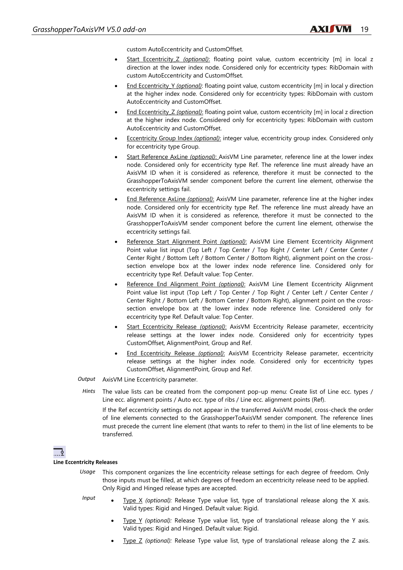custom AutoEccentricity and CustomOffset.

- Start Eccentricity Z (optional): floating point value, custom eccentricity [m] in local z direction at the lower index node. Considered only for eccentricity types: RibDomain with custom AutoEccentricity and CustomOffset.
- End Eccentricity Y *(optional)*: floating point value, custom eccentricity [m] in local y direction at the higher index node. Considered only for eccentricity types: RibDomain with custom AutoEccentricity and CustomOffset.
- End Eccentricity Z (optional): floating point value, custom eccentricity [m] in local z direction at the higher index node. Considered only for eccentricity types: RibDomain with custom AutoEccentricity and CustomOffset.
- Eccentricity Group Index *(optional)*: integer value, eccentricity group index. Considered only for eccentricity type Group.
- Start Reference AxLine *(optional)*: AxisVM Line parameter, reference line at the lower index node. Considered only for eccentricity type Ref. The reference line must already have an AxisVM ID when it is considered as reference, therefore it must be connected to the GrasshopperToAxisVM sender component before the current line element, otherwise the eccentricity settings fail.
- End Reference AxLine *(optional)*: AxisVM Line parameter, reference line at the higher index node. Considered only for eccentricity type Ref. The reference line must already have an AxisVM ID when it is considered as reference, therefore it must be connected to the GrasshopperToAxisVM sender component before the current line element, otherwise the eccentricity settings fail.
- Reference Start Alignment Point *(optional)*: AxisVM Line Element Eccentricity Alignment Point value list input (Top Left / Top Center / Top Right / Center Left / Center Center / Center Right / Bottom Left / Bottom Center / Bottom Right), alignment point on the crosssection envelope box at the lower index node reference line. Considered only for eccentricity type Ref. Default value: Top Center.
- Reference End Alignment Point *(optional)*: AxisVM Line Element Eccentricity Alignment Point value list input (Top Left / Top Center / Top Right / Center Left / Center Center / Center Right / Bottom Left / Bottom Center / Bottom Right), alignment point on the crosssection envelope box at the lower index node reference line. Considered only for eccentricity type Ref. Default value: Top Center.
- Start Eccentricity Release *(optional)*: AxisVM Eccentricity Release parameter, eccentricity release settings at the lower index node. Considered only for eccentricity types CustomOffset, AlignmentPoint, Group and Ref.
- End Eccentricity Release *(optional)*: AxisVM Eccentricity Release parameter, eccentricity release settings at the higher index node. Considered only for eccentricity types CustomOffset, AlignmentPoint, Group and Ref.
- *Output* AxisVM Line Eccentricity parameter.
- *Hints* The value lists can be created from the component pop-up menu: Create list of Line ecc. types / Line ecc. alignment points / Auto ecc. type of ribs / Line ecc. alignment points (Ref).

If the Ref eccentricity settings do not appear in the transferred AxisVM model, cross-check the order of line elements connected to the GrasshopperToAxisVM sender component. The reference lines must precede the current line element (that wants to refer to them) in the list of line elements to be transferred.

### **Line Eccentricity Releases**

- *Usage* This component organizes the line eccentricity release settings for each degree of freedom. Only those inputs must be filled, at which degrees of freedom an eccentricity release need to be applied. Only Rigid and Hinged release types are accepted.
- 
- *Input* Type X *(optional):* Release Type value list, type of translational release along the X axis. Valid types: Rigid and Hinged. Default value: Rigid.
	- Type Y (optional): Release Type value list, type of translational release along the Y axis. Valid types: Rigid and Hinged. Default value: Rigid.
	- Type Z *(optional):* Release Type value list, type of translational release along the Z axis.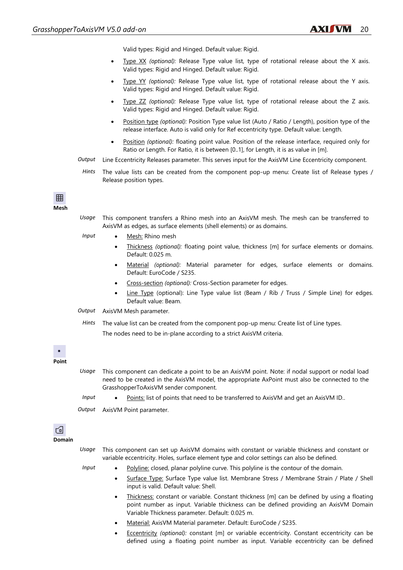Valid types: Rigid and Hinged. Default value: Rigid.

- Type XX (optional): Release Type value list, type of rotational release about the X axis. Valid types: Rigid and Hinged. Default value: Rigid.
- Type YY *(optional):* Release Type value list, type of rotational release about the Y axis. Valid types: Rigid and Hinged. Default value: Rigid.
- Type ZZ *(optional):* Release Type value list, type of rotational release about the Z axis. Valid types: Rigid and Hinged. Default value: Rigid.
- Position type *(optional):* Position Type value list (Auto / Ratio / Length), position type of the release interface. Auto is valid only for Ref eccentricity type. Default value: Length.
- Position *(optional):* floating point value. Position of the release interface, required only for Ratio or Length. For Ratio, it is between [0..1], for Length, it is as value in [m].

*Output* Line Eccentricity Releases parameter. This serves input for the AxisVM Line Eccentricity component.

*Hints* The value lists can be created from the component pop-up menu: Create list of Release types / Release position types.

## 囲

**Mesh**

- *Usage* This component transfers a Rhino mesh into an AxisVM mesh. The mesh can be transferred to AxisVM as edges, as surface elements (shell elements) or as domains.
- *Input* Mesh: Rhino mesh
	- Thickness *(optional):* floating point value, thickness [m] for surface elements or domains. Default: 0.025 m.
	- Material *(optional):* Material parameter for edges, surface elements or domains. Default: EuroCode / S235.
	- Cross-section *(optional):* Cross-Section parameter for edges.
	- Line Type (optional): Line Type value list (Beam / Rib / Truss / Simple Line) for edges. Default value: Beam.
- *Output* AxisVM Mesh parameter.
	- *Hints* The value list can be created from the component pop-up menu: Create list of Line types.
		- The nodes need to be in-plane according to a strict AxisVM criteria.

**Point**

- *Usage* This component can dedicate a point to be an AxisVM point. Note: if nodal support or nodal load need to be created in the AxisVM model, the appropriate AxPoint must also be connected to the GrasshopperToAxisVM sender component.
- *Input* Points: list of points that need to be transferred to AxisVM and get an AxisVM ID..

*Output* AxisVM Point parameter.

## 向

**Domain**

*Usage* This component can set up AxisVM domains with constant or variable thickness and constant or variable eccentricity. Holes, surface element type and color settings can also be defined.

- 
- *Input* Polyline: closed, planar polyline curve. This polyline is the contour of the domain.
	- Surface Type: Surface Type value list. Membrane Stress / Membrane Strain / Plate / Shell input is valid. Default value: Shell.
	- Thickness: constant or variable. Constant thickness [m] can be defined by using a floating point number as input. Variable thickness can be defined providing an AxisVM Domain Variable Thickness parameter. Default: 0.025 m.
	- Material: AxisVM Material parameter. Default: EuroCode / S235.
	- Eccentricity *(optional):* constant [m] or variable eccentricity. Constant eccentricity can be defined using a floating point number as input. Variable eccentricity can be defined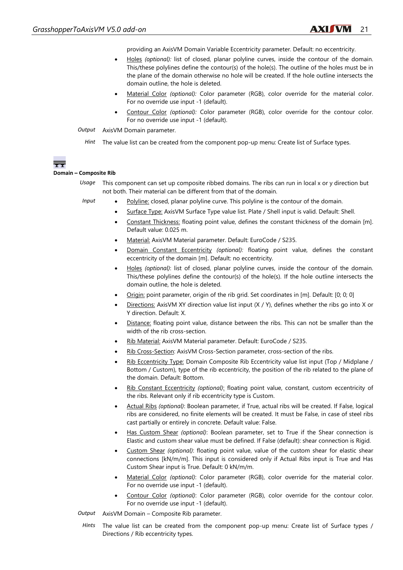providing an AxisVM Domain Variable Eccentricity parameter. Default: no eccentricity.

- Holes *(optional):* list of closed, planar polyline curves, inside the contour of the domain. This/these polylines define the contour(s) of the hole(s). The outline of the holes must be in the plane of the domain otherwise no hole will be created. If the hole outline intersects the domain outline, the hole is deleted.
- Material Color *(optional):* Color parameter (RGB), color override for the material color. For no override use input -1 (default).
- Contour Color *(optional):* Color parameter (RGB), color override for the contour color. For no override use input -1 (default).

*Output* AxisVM Domain parameter.

*Hint* The value list can be created from the component pop-up menu: Create list of Surface types.



### **Domain – Composite Rib**

*Usage* This component can set up composite ribbed domains. The ribs can run in local x or y direction but not both. Their material can be different from that of the domain.

- *Input* Polyline: closed, planar polyline curve. This polyline is the contour of the domain.
	- Surface Type: AxisVM Surface Type value list. Plate / Shell input is valid. Default: Shell.
	- Constant Thickness: floating point value, defines the constant thickness of the domain [m]. Default value: 0.025 m.
	- Material: AxisVM Material parameter. Default: EuroCode / S235.
	- Domain Constant Eccentricity *(optional):* floating point value, defines the constant eccentricity of the domain [m]. Default: no eccentricity.
	- Holes *(optional)*: list of closed, planar polyline curves, inside the contour of the domain. This/these polylines define the contour(s) of the hole(s). If the hole outline intersects the domain outline, the hole is deleted.
	- Origin: point parameter, origin of the rib grid. Set coordinates in [m]. Default: [0; 0; 0]
	- Directions: AxisVM XY direction value list input (X / Y), defines whether the ribs go into X or Y direction. Default: X.
	- Distance: floating point value, distance between the ribs. This can not be smaller than the width of the rib cross-section.
	- Rib Material: AxisVM Material parameter. Default: EuroCode / S235.
	- Rib Cross-Section: AxisVM Cross-Section parameter, cross-section of the ribs.
	- Rib Eccentricity Type: Domain Composite Rib Eccentricity value list input (Top / Midplane / Bottom / Custom), type of the rib eccentricity, the position of the rib related to the plane of the domain. Default: Bottom.
	- Rib Constant Eccentricity *(optional)*: floating point value, constant, custom eccentricity of the ribs. Relevant only if rib eccentricity type is Custom.
	- Actual Ribs *(optional)*: Boolean parameter, if True, actual ribs will be created. If False, logical ribs are considered, no finite elements will be created. It must be False, in case of steel ribs cast partially or entirely in concrete. Default value: False.
	- Has Custom Shear *(optional)*: Boolean parameter, set to True if the Shear connection is Elastic and custom shear value must be defined. If False (default): shear connection is Rigid.
	- Custom Shear *(optional)*: floating point value, value of the custom shear for elastic shear connections [kN/m/m]. This input is considered only if Actual Ribs input is True and Has Custom Shear input is True. Default: 0 kN/m/m.
	- Material Color *(optional)*: Color parameter (RGB), color override for the material color. For no override use input -1 (default).
	- Contour Color *(optional)*: Color parameter (RGB), color override for the contour color. For no override use input -1 (default).
- *Output* AxisVM Domain Composite Rib parameter.
- *Hints* The value list can be created from the component pop-up menu: Create list of Surface types / Directions / Rib eccentricity types.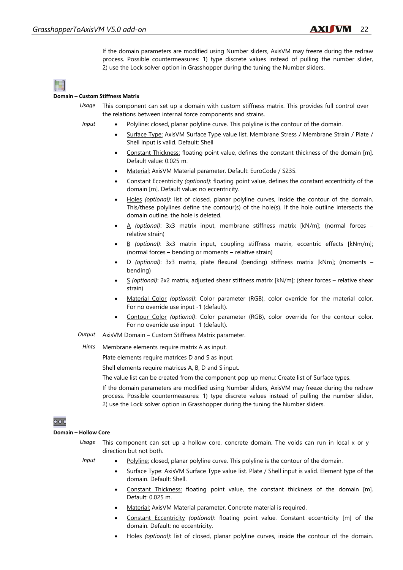If the domain parameters are modified using Number sliders, AxisVM may freeze during the redraw process. Possible countermeasures: 1) type discrete values instead of pulling the number slider, 2) use the Lock solver option in Grasshopper during the tuning the Number sliders.



### **Domain – Custom Stiffness Matrix**

*Usage* This component can set up a domain with custom stiffness matrix. This provides full control over the relations between internal force components and strains.

- *Input* Polyline: closed, planar polyline curve. This polyline is the contour of the domain.
	- Surface Type: AxisVM Surface Type value list. Membrane Stress / Membrane Strain / Plate / Shell input is valid. Default: Shell
	- Constant Thickness: floating point value, defines the constant thickness of the domain [m]. Default value: 0.025 m.
	- Material: AxisVM Material parameter. Default: EuroCode / S235.
	- Constant Eccentricity *(optional)*: floating point value, defines the constant eccentricity of the domain [m]. Default value: no eccentricity.
	- Holes *(optional)*: list of closed, planar polyline curves, inside the contour of the domain. This/these polylines define the contour(s) of the hole(s). If the hole outline intersects the domain outline, the hole is deleted.
	- A *(optional)*: 3x3 matrix input, membrane stiffness matrix [kN/m]; (normal forces relative strain)
	- B *(optional)*: 3x3 matrix input, coupling stiffness matrix, eccentric effects [kNm/m]; (normal forces – bending or moments – relative strain)
	- D *(optional)*: 3x3 matrix, plate flexural (bending) stiffness matrix [kNm]; (moments bending)
	- S *(optional)*: 2x2 matrix, adjusted shear stiffness matrix [kN/m]; (shear forces relative shear strain)
	- Material Color *(optional)*: Color parameter (RGB), color override for the material color. For no override use input -1 (default).
	- Contour Color *(optional)*: Color parameter (RGB), color override for the contour color. For no override use input -1 (default).
- *Output* AxisVM Domain Custom Stiffness Matrix parameter.
	- *Hints* Membrane elements require matrix A as input.

Plate elements require matrices D and S as input.

Shell elements require matrices A, B, D and S input.

The value list can be created from the component pop-up menu: Create list of Surface types.

If the domain parameters are modified using Number sliders, AxisVM may freeze during the redraw process. Possible countermeasures: 1) type discrete values instead of pulling the number slider, 2) use the Lock solver option in Grasshopper during the tuning the Number sliders.

### ooc

### **Domain – Hollow Core**

- *Usage* This component can set up a hollow core, concrete domain. The voids can run in local x or y direction but not both.
- *Input* Polyline: closed, planar polyline curve. This polyline is the contour of the domain.
	- Surface Type: AxisVM Surface Type value list. Plate / Shell input is valid. Element type of the domain. Default: Shell.
	- Constant Thickness: floating point value, the constant thickness of the domain [m]. Default: 0.025 m.
	- Material: AxisVM Material parameter. Concrete material is required.
	- Constant Eccentricity *(optional)*: floating point value. Constant eccentricity [m] of the domain. Default: no eccentricity.
	- Holes *(optional)*: list of closed, planar polyline curves, inside the contour of the domain.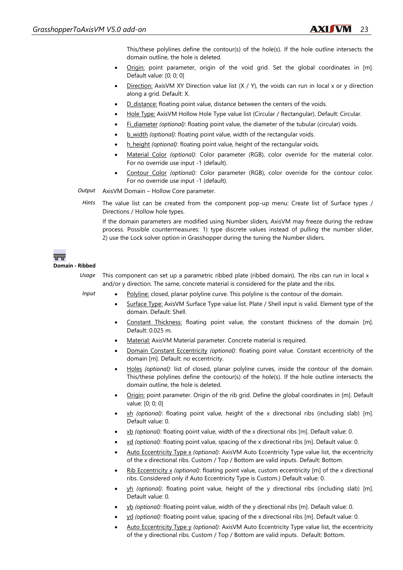This/these polylines define the contour(s) of the hole(s). If the hole outline intersects the domain outline, the hole is deleted.

- Origin: point parameter, origin of the void grid. Set the global coordinates in [m]. Default value: [0; 0; 0]
- Direction: AxisVM XY Direction value list  $(X / Y)$ , the voids can run in local x or y direction along a grid. Default: X.
- **D** distance: floating point value, distance between the centers of the voids.
- Hole Type: AxisVM Hollow Hole Type value list (Circular / Rectangular). Default: Circular.
- Fi\_diameter *(optional)*: floating point value, the diameter of the tubular (circular) voids.
- **b** width *(optional)*: floating point value, width of the rectangular voids.
- h\_height *(optional)*: floating point value, height of the rectangular voids.
- Material Color *(optional)*: Color parameter (RGB), color override for the material color. For no override use input -1 (default).
- Contour Color *(optional)*: Color parameter (RGB), color override for the contour color. For no override use input -1 (default).

*Output* AxisVM Domain – Hollow Core parameter.

*Hints* The value list can be created from the component pop-up menu: Create list of Surface types / Directions / Hollow hole types.

If the domain parameters are modified using Number sliders, AxisVM may freeze during the redraw process. Possible countermeasures: 1) type discrete values instead of pulling the number slider, 2) use the Lock solver option in Grasshopper during the tuning the Number sliders.

### $\overline{\mathbf{r}}$

### **Domain - Ribbed**

*Usage* This component can set up a parametric ribbed plate (ribbed domain). The ribs can run in local x and/or y direction. The same, concrete material is considered for the plate and the ribs.

- *Input* Polyline: closed, planar polyline curve. This polyline is the contour of the domain.
	- Surface Type: AxisVM Surface Type value list. Plate / Shell input is valid. Element type of the domain. Default: Shell.
	- Constant Thickness: floating point value, the constant thickness of the domain [m]. Default: 0.025 m.
	- Material: AxisVM Material parameter. Concrete material is required.
	- Domain Constant Eccentricity *(optional)*: floating point value. Constant eccentricity of the domain [m]. Default: no eccentricity.
	- Holes *(optional)*: list of closed, planar polyline curves, inside the contour of the domain. This/these polylines define the contour(s) of the hole(s). If the hole outline intersects the domain outline, the hole is deleted.
	- Origin: point parameter. Origin of the rib grid. Define the global coordinates in [m]. Default value: [0; 0; 0]
	- xh *(optional)*: floating point value, height of the x directional ribs (including slab) [m]. Default value: 0.
	- xb *(optional)*: floating point value, width of the x directional ribs [m]. Default value: 0.
	- xd *(optional)*: floating point value, spacing of the x directional ribs [m]. Default value: 0.
	- Auto Eccentricity Type x *(optional)*: AxisVM Auto Eccentricity Type value list, the eccentricity of the x directional ribs. Custom / Top / Bottom are valid inputs. Default: Bottom.
	- Rib Eccentricity x *(optional)*: floating point value, custom eccentricity [m] of the x directional ribs. Considered only if Auto Eccentricity Type is Custom.) Default value: 0.
	- yh *(optional)*: floating point value, height of the y directional ribs (including slab) [m]. Default value: 0.
	- yb *(optional)*: floating point value, width of the y directional ribs [m]. Default value: 0.
	- yd *(optional)*: floating point value, spacing of the x directional ribs [m]. Default value: 0.
	- Auto Eccentricity Type y *(optional)*: AxisVM Auto Eccentricity Type value list, the eccentricity of the y directional ribs. Custom / Top / Bottom are valid inputs. Default: Bottom.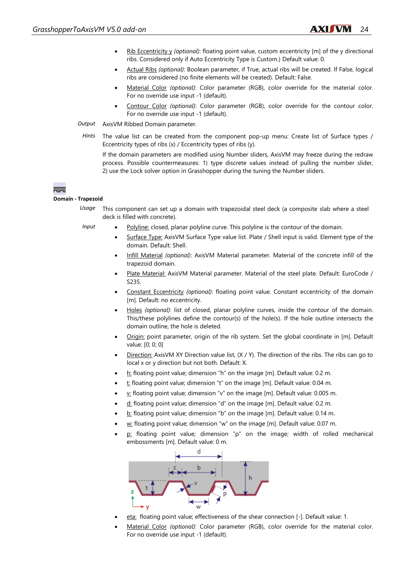- Rib Eccentricity y *(optional)*: floating point value, custom eccentricity [m] of the y directional ribs. Considered only if Auto Eccentricity Type is Custom.) Default value: 0.
- Actual Ribs *(optional)*: Boolean parameter, if True, actual ribs will be created. If False, logical ribs are considered (no finite elements will be created). Default: False.
- Material Color *(optional)*: Color parameter (RGB), color override for the material color. For no override use input -1 (default).
- Contour Color *(optional)*: Color parameter (RGB), color override for the contour color. For no override use input -1 (default).
- *Output* AxisVM Ribbed Domain parameter.
- *Hints* The value list can be created from the component pop-up menu: Create list of Surface types / Eccentricity types of ribs (x) / Eccentricity types of ribs (y).

If the domain parameters are modified using Number sliders, AxisVM may freeze during the redraw process. Possible countermeasures: 1) type discrete values instead of pulling the number slider, 2) use the Lock solver option in Grasshopper during the tuning the Number sliders.

### **Domain - Trapezoid**

*Usage* This component can set up a domain with trapezoidal steel deck (a composite slab where a steel deck is filled with concrete).

- 
- *Input* Polyline: closed, planar polyline curve. This polyline is the contour of the domain.
	- Surface Type: AxisVM Surface Type value list. Plate / Shell input is valid. Element type of the domain. Default: Shell.
	- Infill Material *(optional)*: AxisVM Material parameter. Material of the concrete infill of the trapezoid domain.
	- Plate Material: AxisVM Material parameter. Material of the steel plate. Default: EuroCode / S235.
	- Constant Eccentricity *(optional)*: floating point value. Constant eccentricity of the domain [m]. Default: no eccentricity.
	- Holes *(optional)*: list of closed, planar polyline curves, inside the contour of the domain. This/these polylines define the contour(s) of the hole(s). If the hole outline intersects the domain outline, the hole is deleted.
	- Origin: point parameter, origin of the rib system. Set the global coordinate in [m]. Default value: [0; 0; 0]
	- Direction: AxisVM XY Direction value list,  $(X / Y)$ . The direction of the ribs. The ribs can go to local x or y direction but not both. Default: X.
	- h: floating point value; dimension "h" on the image [m]. Default value: 0.2 m.
	- t: floating point value; dimension "t" on the image [m]. Default value: 0.04 m.
	- $v$ : floating point value; dimension "v" on the image [m]. Default value: 0.005 m.
	- d: floating point value; dimension "d" on the image [m]. Default value: 0.2 m.
	- b: floating point value; dimension "b" on the image [m]. Default value: 0.14 m.
	- w: floating point value; dimension "w" on the image [m]. Default value: 0.07 m.
	- $p$ : floating point value; dimension "p" on the image; width of rolled mechanical embossments [m]. Default value: 0 m.



- eta: floating point value; effectiveness of the shear connection [-]. Default value: 1.
- Material Color *(optional)*: Color parameter (RGB), color override for the material color. For no override use input -1 (default).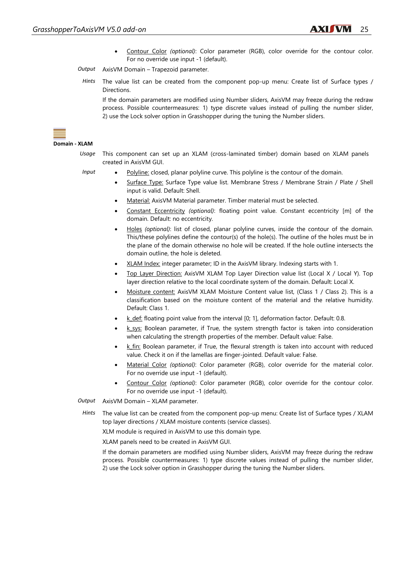- Contour Color *(optional)*: Color parameter (RGB), color override for the contour color. For no override use input -1 (default).
- *Output* AxisVM Domain Trapezoid parameter.
- *Hints* The value list can be created from the component pop-up menu: Create list of Surface types / **Directions**

If the domain parameters are modified using Number sliders, AxisVM may freeze during the redraw process. Possible countermeasures: 1) type discrete values instead of pulling the number slider, 2) use the Lock solver option in Grasshopper during the tuning the Number sliders.



**Domain - XLAM**

*Usage* This component can set up an XLAM (cross-laminated timber) domain based on XLAM panels created in AxisVM GUI.

- *Input* Polyline: closed, planar polyline curve. This polyline is the contour of the domain.
	- Surface Type: Surface Type value list. Membrane Stress / Membrane Strain / Plate / Shell input is valid. Default: Shell.
	- Material: AxisVM Material parameter. Timber material must be selected.
	- Constant Eccentricity *(optional)*: floating point value. Constant eccentricity [m] of the domain. Default: no eccentricity.
	- Holes *(optional)*: list of closed, planar polyline curves, inside the contour of the domain. This/these polylines define the contour(s) of the hole(s). The outline of the holes must be in the plane of the domain otherwise no hole will be created. If the hole outline intersects the domain outline, the hole is deleted.
	- XLAM Index: integer parameter; ID in the AxisVM library. Indexing starts with 1.
	- Top Layer Direction: AxisVM XLAM Top Layer Direction value list (Local X / Local Y). Top layer direction relative to the local coordinate system of the domain. Default: Local X.
	- Moisture content: AxisVM XLAM Moisture Content value list, (Class 1 / Class 2). This is a classification based on the moisture content of the material and the relative humidity. Default: Class 1.
	- k def: floating point value from the interval [0; 1], deformation factor. Default: 0.8.
	- $k$  sys: Boolean parameter, if True, the system strength factor is taken into consideration when calculating the strength properties of the member. Default value: False.
	- $k$  fin: Boolean parameter, if True, the flexural strength is taken into account with reduced value. Check it on if the lamellas are finger-jointed. Default value: False.
	- Material Color *(optional)*: Color parameter (RGB), color override for the material color. For no override use input -1 (default).
	- Contour Color *(optional)*: Color parameter (RGB), color override for the contour color. For no override use input -1 (default).

*Output* AxisVM Domain – XLAM parameter.

*Hints* The value list can be created from the component pop-up menu: Create list of Surface types / XLAM top layer directions / XLAM moisture contents (service classes).

XLM module is required in AxisVM to use this domain type.

XLAM panels need to be created in AxisVM GUI.

If the domain parameters are modified using Number sliders, AxisVM may freeze during the redraw process. Possible countermeasures: 1) type discrete values instead of pulling the number slider, 2) use the Lock solver option in Grasshopper during the tuning the Number sliders.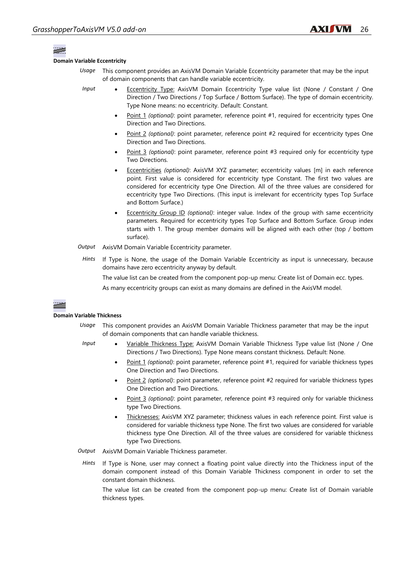22

### **Domain Variable Eccentricity**

*Usage* This component provides an AxisVM Domain Variable Eccentricity parameter that may be the input of domain components that can handle variable eccentricity.

- *Input* Eccentricity Type: AxisVM Domain Eccentricity Type value list (None / Constant / One Direction / Two Directions / Top Surface / Bottom Surface). The type of domain eccentricity. Type None means: no eccentricity. Default: Constant.
	- Point 1 *(optional)*: point parameter, reference point #1, required for eccentricity types One Direction and Two Directions.
	- Point 2 *(optional)*: point parameter, reference point #2 required for eccentricity types One Direction and Two Directions.
	- Point 3 *(optional)*: point parameter, reference point #3 required only for eccentricity type Two Directions.
	- Eccentricities *(optional)*: AxisVM XYZ parameter; eccentricity values [m] in each reference point. First value is considered for eccentricity type Constant. The first two values are considered for eccentricity type One Direction. All of the three values are considered for eccentricity type Two Directions. (This input is irrelevant for eccentricity types Top Surface and Bottom Surface.)
	- **Eccentricity Group ID** *(optional)*: integer value. Index of the group with same eccentricity parameters. Required for eccentricity types Top Surface and Bottom Surface. Group index starts with 1. The group member domains will be aligned with each other (top / bottom surface).
- *Output* AxisVM Domain Variable Eccentricity parameter.
	- *Hints* If Type is None, the usage of the Domain Variable Eccentricity as input is unnecessary, because domains have zero eccentricity anyway by default.

The value list can be created from the component pop-up menu: Create list of Domain ecc. types.

As many eccentricity groups can exist as many domains are defined in the AxisVM model.



### **Domain Variable Thickness**

- *Usage* This component provides an AxisVM Domain Variable Thickness parameter that may be the input of domain components that can handle variable thickness.
- 
- *Input* Variable Thickness Type: AxisVM Domain Variable Thickness Type value list (None / One Directions / Two Directions). Type None means constant thickness. Default: None.
	- Point 1 *(optional)*: point parameter, reference point #1, required for variable thickness types One Direction and Two Directions.
	- Point 2 *(optional)*: point parameter, reference point #2 required for variable thickness types One Direction and Two Directions.
	- Point 3 *(optional)*: point parameter, reference point #3 required only for variable thickness type Two Directions.
	- Thicknesses: AxisVM XYZ parameter; thickness values in each reference point. First value is considered for variable thickness type None. The first two values are considered for variable thickness type One Direction. All of the three values are considered for variable thickness type Two Directions.
- *Output* AxisVM Domain Variable Thickness parameter.
	- *Hints* If Type is None, user may connect a floating point value directly into the Thickness input of the domain component instead of this Domain Variable Thickness component in order to set the constant domain thickness.

The value list can be created from the component pop-up menu: Create list of Domain variable thickness types.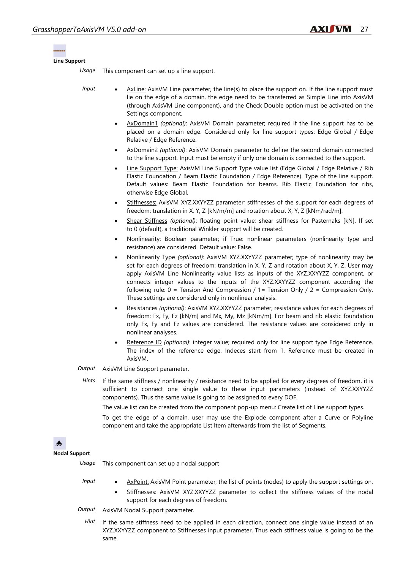### **Line Support**

*Usage* This component can set up a line support.

- *Input* AxLine: AxisVM Line parameter, the line(s) to place the support on. If the line support must lie on the edge of a domain, the edge need to be transferred as Simple Line into AxisVM (through AxisVM Line component), and the Check Double option must be activated on the Settings component.
	- AxDomain1 *(optional)*: AxisVM Domain parameter; required if the line support has to be placed on a domain edge. Considered only for line support types: Edge Global / Edge Relative / Edge Reference.
	- AxDomain2 *(optional)*: AxisVM Domain parameter to define the second domain connected to the line support. Input must be empty if only one domain is connected to the support.
	- Line Support Type: AxisVM Line Support Type value list (Edge Global / Edge Relative / Rib Elastic Foundation / Beam Elastic Foundation / Edge Reference). Type of the line support. Default values: Beam Elastic Foundation for beams, Rib Elastic Foundation for ribs, otherwise Edge Global.
	- Stiffnesses: AxisVM XYZ.XXYYZZ parameter; stiffnesses of the support for each degrees of freedom: translation in X, Y, Z [kN/m/m] and rotation about X, Y, Z [kNm/rad/m].
	- Shear Stiffness *(optional)*: floating point value; shear stiffness for Pasternaks [kN]. If set to 0 (default), a traditional Winkler support will be created.
	- Nonlinearity: Boolean parameter; if True: nonlinear parameters (nonlinearity type and resistance) are considered. Default value: False.
	- Nonlinearity Type *(optional)*: AxisVM XYZ.XXYYZZ parameter; type of nonlinearity may be set for each degrees of freedom: translation in X, Y, Z and rotation about X, Y, Z. User may apply AxisVM Line Nonlinearity value lists as inputs of the XYZ.XXYYZZ component, or connects integer values to the inputs of the XYZ.XXYYZZ component according the following rule:  $0 =$  Tension And Compression / 1 = Tension Only / 2 = Compression Only. These settings are considered only in nonlinear analysis.
	- Resistances *(optional)*: AxisVM XYZ.XXYYZZ parameter; resistance values for each degrees of freedom: Fx, Fy, Fz [kN/m] and Mx, My, Mz [kNm/m]. For beam and rib elastic foundation only Fx, Fy and Fz values are considered. The resistance values are considered only in nonlinear analyses.
	- Reference ID *(optional)*: integer value; required only for line support type Edge Reference. The index of the reference edge. Indeces start from 1. Reference must be created in AxisVM.
- *Output* AxisVM Line Support parameter.
- *Hints* If the same stiffness / nonlinearity / resistance need to be applied for every degrees of freedom, it is sufficient to connect one single value to these input parameters (instead of XYZ.XXYYZZ components). Thus the same value is going to be assigned to every DOF.

The value list can be created from the component pop-up menu: Create list of Line support types.

To get the edge of a domain, user may use the Explode component after a Curve or Polyline component and take the appropriate List Item afterwards from the list of Segments.

### **Nodal Support**

*Usage* This component can set up a nodal support

- *Input* AxPoint: AxisVM Point parameter; the list of points (nodes) to apply the support settings on.
	- Stiffnesses: AxisVM XYZ.XXYYZZ parameter to collect the stiffness values of the nodal support for each degrees of freedom.
- *Output* AxisVM Nodal Support parameter.
	- *Hint* If the same stiffness need to be applied in each direction, connect one single value instead of an XYZ.XXYYZZ component to Stiffnesses input parameter. Thus each stiffness value is going to be the same.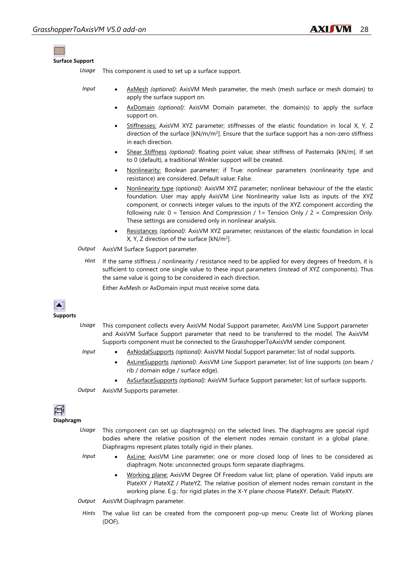| <b>Surface Support</b> |        |                                                                                                                                                                                                                                                                                                                                                                                                                                                    |  |
|------------------------|--------|----------------------------------------------------------------------------------------------------------------------------------------------------------------------------------------------------------------------------------------------------------------------------------------------------------------------------------------------------------------------------------------------------------------------------------------------------|--|
|                        | Usage  | This component is used to set up a surface support.                                                                                                                                                                                                                                                                                                                                                                                                |  |
|                        | Input  | AxMesh (optional): AxisVM Mesh parameter, the mesh (mesh surface or mesh domain) to<br>$\bullet$<br>apply the surface support on.                                                                                                                                                                                                                                                                                                                  |  |
|                        |        | AxDomain (optional): AxisVM Domain parameter, the domain(s) to apply the surface<br>$\bullet$<br>support on.                                                                                                                                                                                                                                                                                                                                       |  |
|                        |        | Stiffnesses: AxisVM XYZ parameter; stiffnesses of the elastic foundation in local X, Y, Z<br>$\bullet$<br>direction of the surface [kN/m/m <sup>2</sup> ]. Ensure that the surface support has a non-zero stiffness<br>in each direction.                                                                                                                                                                                                          |  |
|                        |        | Shear Stiffness (optional): floating point value; shear stiffness of Pasternaks [kN/m]. If set<br>$\bullet$<br>to 0 (default), a traditional Winkler support will be created.                                                                                                                                                                                                                                                                      |  |
|                        |        | Nonlinearity: Boolean parameter; if True: nonlinear parameters (nonlinearity type and<br>$\bullet$<br>resistance) are considered. Default value: False.                                                                                                                                                                                                                                                                                            |  |
|                        |        | Nonlinearity type (optional): AxisVM XYZ parameter; nonlinear behaviour of the the elastic<br>$\bullet$<br>foundation. User may apply AxisVM Line Nonlinearity value lists as inputs of the XYZ<br>component, or connects integer values to the inputs of the XYZ component according the<br>following rule: $0 =$ Tension And Compression / 1 = Tension Only / 2 = Compression Only.<br>These settings are considered only in nonlinear analysis. |  |
|                        |        | Resistances (optional): AxisVM XYZ parameter; resistances of the elastic foundation in local<br>$\bullet$<br>$X, Y, Z$ direction of the surface [kN/m <sup>2</sup> ].                                                                                                                                                                                                                                                                              |  |
|                        | Output | AxisVM Surface Support parameter.                                                                                                                                                                                                                                                                                                                                                                                                                  |  |
| Hint                   |        | If the same stiffness / nonlinearity / resistance need to be applied for every degrees of freedom, it is<br>sufficient to connect one single value to these input parameters (instead of XYZ components). Thus<br>the same value is going to be considered in each direction.                                                                                                                                                                      |  |
|                        |        | Either AxMesh or AxDomain input must receive some data.                                                                                                                                                                                                                                                                                                                                                                                            |  |
|                        |        |                                                                                                                                                                                                                                                                                                                                                                                                                                                    |  |
| <b>Supports</b>        |        |                                                                                                                                                                                                                                                                                                                                                                                                                                                    |  |
|                        | Usage  | This component collects every AxisVM Nodal Support parameter, AxisVM Line Support parameter                                                                                                                                                                                                                                                                                                                                                        |  |

and AxisVM Surface Support parameter that need to be transferred to the model. The AxisVM Supports component must be connected to the GrasshopperToAxisVM sender component.

- *Input* AxNodalSupports *(optional)*: AxisVM Nodal Support parameter; list of nodal supports.
	- AxLineSupports *(optional)*: AxisVM Line Support parameter; list of line supports (on beam / rib / domain edge / surface edge).
	- AxSurfaceSupports *(optional)*: AxisVM Surface Support parameter; list of surface supports.

*Output* AxisVM Supports parameter.



**Diaphragm**

- *Usage* This component can set up diaphragm(s) on the selected lines. The diaphragms are special rigid bodies where the relative position of the element nodes remain constant in a global plane. Diaphragms represent plates totally rigid in their planes.
- 
- *Input* AxLine: AxisVM Line parameter; one or more closed loop of lines to be considered as diaphragm. Note: unconnected groups form separate diaphragms.
	- Working plane: AxisVM Degree Of Freedom value list; plane of operation. Valid inputs are PlateXY / PlateXZ / PlateYZ. The relative position of element nodes remain constant in the working plane. E.g.: for rigid plates in the X-Y plane choose PlateXY. Default: PlateXY.
- *Output* AxisVM Diaphragm parameter.
	- *Hints* The value list can be created from the component pop-up menu: Create list of Working planes (DOF).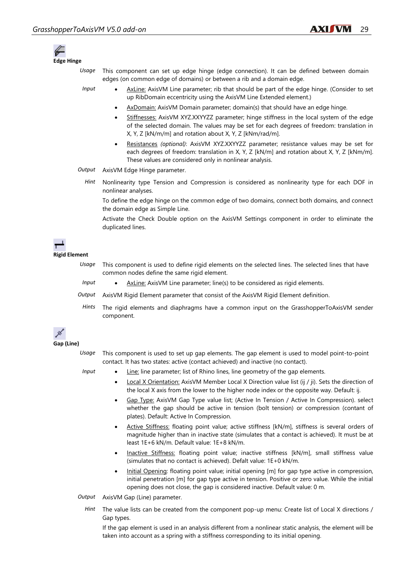**Edge Hinge**

*Usage* This component can set up edge hinge (edge connection). It can be defined between domain edges (on common edge of domains) or between a rib and a domain edge.

- 
- *Input* AxLine: AxisVM Line parameter; rib that should be part of the edge hinge. (Consider to set up RibDomain eccentricity using the AxisVM Line Extended element.)
	- AxDomain: AxisVM Domain parameter; domain(s) that should have an edge hinge.
	- Stiffnesses: AxisVM XYZ.XXYYZZ parameter; hinge stiffness in the local system of the edge of the selected domain. The values may be set for each degrees of freedom: translation in X, Y, Z [kN/m/m] and rotation about X, Y, Z [kNm/rad/m].
	- Resistances *(optional)*: AxisVM XYZ.XXYYZZ parameter; resistance values may be set for each degrees of freedom: translation in X, Y, Z [kN/m] and rotation about X, Y, Z [kNm/m]. These values are considered only in nonlinear analysis.
- *Output* AxisVM Edge Hinge parameter.
	- *Hint* Nonlinearity type Tension and Compression is considered as nonlinearity type for each DOF in nonlinear analyses.

To define the edge hinge on the common edge of two domains, connect both domains, and connect the domain edge as Simple Line.

Activate the Check Double option on the AxisVM Settings component in order to eliminate the duplicated lines.

### **Rigid Element**

- *Usage* This component is used to define rigid elements on the selected lines. The selected lines that have common nodes define the same rigid element.
- *Input* AxLine: AxisVM Line parameter; line(s) to be considered as rigid elements.
- *Output* AxisVM Rigid Element parameter that consist of the AxisVM Rigid Element definition.
- Hints The rigid elements and diaphragms have a common input on the GrasshopperToAxisVM sender component.



**Gap (Line)**

*Usage* This component is used to set up gap elements. The gap element is used to model point-to-point contact. It has two states: active (contact achieved) and inactive (no contact).

- 
- *Input* **Line:** line parameter; list of Rhino lines, line geometry of the gap elements.
	- Local X Orientation: AxisVM Member Local X Direction value list (ij / ji). Sets the direction of the local X axis from the lower to the higher node index or the opposite way. Default: ij.
	- Gap Type: AxisVM Gap Type value list; (Active In Tension / Active In Compression). select whether the gap should be active in tension (bolt tension) or compression (contant of plates). Default: Active In Compression.
	- Active Stiffness: floating point value; active stiffness [kN/m], stiffness is several orders of magnitude higher than in inactive state (simulates that a contact is achieved). It must be at least 1E+6 kN/m. Default value: 1E+8 kN/m.
	- Inactive Stiffness: floating point value; inactive stiffness [kN/m], small stiffness value (simulates that no contact is achieved). Defalt value: 1E+0 kN/m.
	- Initial Opening: floating point value; initial opening [m] for gap type active in compression, initial penetration [m] for gap type active in tension. Positive or zero value. While the initial opening does not close, the gap is considered inactive. Default value: 0 m.
- *Output* AxisVM Gap (Line) parameter.
	- *Hint* The value lists can be created from the component pop-up menu: Create list of Local X directions / Gap types.

If the gap element is used in an analysis different from a nonlinear static analysis, the element will be taken into account as a spring with a stiffness corresponding to its initial opening.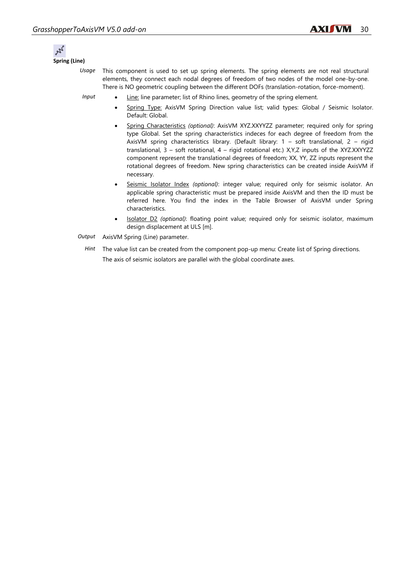### گېر **Spring (Line)**

*Usage* This component is used to set up spring elements. The spring elements are not real structural elements, they connect each nodal degrees of freedom of two nodes of the model one-by-one. There is NO geometric coupling between the different DOFs (translation-rotation, force-moment).

- *Input* Line: line parameter; list of Rhino lines, geometry of the spring element.
	- Spring Type: AxisVM Spring Direction value list; valid types: Global / Seismic Isolator. Default: Global.
	- Spring Characteristics *(optional)*: AxisVM XYZ.XXYYZZ parameter; required only for spring type Global. Set the spring characteristics indeces for each degree of freedom from the AxisVM spring characteristics library. (Default library: 1 – soft translational, 2 – rigid translational, 3 – soft rotational, 4 – rigid rotational etc.) X,Y,Z inputs of the XYZ.XXYYZZ component represent the translational degrees of freedom; XX, YY, ZZ inputs represent the rotational degrees of freedom. New spring characteristics can be created inside AxisVM if necessary.
	- Seismic Isolator Index *(optional)*: integer value; required only for seismic isolator. An applicable spring characteristic must be prepared inside AxisVM and then the ID must be referred here. You find the index in the Table Browser of AxisVM under Spring characteristics.
	- Isolator D2 *(optional)*: floating point value; required only for seismic isolator, maximum design displacement at ULS [m].
- *Output* AxisVM Spring (Line) parameter.
	- *Hint* The value list can be created from the component pop-up menu: Create list of Spring directions. The axis of seismic isolators are parallel with the global coordinate axes.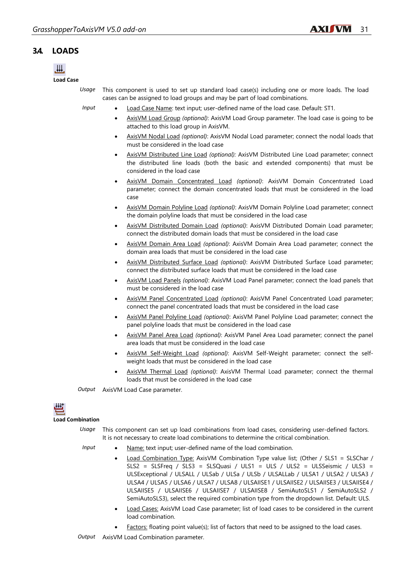### <span id="page-30-0"></span>**3.4. LOADS**



*Usage* This component is used to set up standard load case(s) including one or more loads. The load cases can be assigned to load groups and may be part of load combinations.

- *Input* Load Case Name: text input; user-defined name of the load case. Default: ST1.
	- AxisVM Load Group *(optional)*: AxisVM Load Group parameter. The load case is going to be attached to this load group in AxisVM.
	- AxisVM Nodal Load *(optional)*: AxisVM Nodal Load parameter; connect the nodal loads that must be considered in the load case
	- AxisVM Distributed Line Load *(optional):* AxisVM Distributed Line Load parameter; connect the distributed line loads (both the basic and extended components) that must be considered in the load case
	- AxisVM Domain Concentrated Load *(optional)*: AxisVM Domain Concentrated Load parameter; connect the domain concentrated loads that must be considered in the load case
	- AxisVM Domain Polyline Load *(optional)*: AxisVM Domain Polyline Load parameter; connect the domain polyline loads that must be considered in the load case
	- AxisVM Distributed Domain Load *(optional)*: AxisVM Distributed Domain Load parameter; connect the distributed domain loads that must be considered in the load case
	- AxisVM Domain Area Load *(optional)*: AxisVM Domain Area Load parameter; connect the domain area loads that must be considered in the load case
	- AxisVM Distributed Surface Load *(optional)*: AxisVM Distributed Surface Load parameter; connect the distributed surface loads that must be considered in the load case
	- AxisVM Load Panels *(optional)*: AxisVM Load Panel parameter; connect the load panels that must be considered in the load case
	- AxisVM Panel Concentrated Load *(optional)*: AxisVM Panel Concentrated Load parameter; connect the panel concentrated loads that must be considered in the load case
	- AxisVM Panel Polyline Load *(optional)*: AxisVM Panel Polyline Load parameter; connect the panel polyline loads that must be considered in the load case
	- AxisVM Panel Area Load *(optional)*: AxisVM Panel Area Load parameter; connect the panel area loads that must be considered in the load case
	- AxisVM Self-Weight Load *(optional)*: AxisVM Self-Weight parameter; connect the selfweight loads that must be considered in the load case
	- AxisVM Thermal Load *(optional)*: AxisVM Thermal Load parameter; connect the thermal loads that must be considered in the load case

*Output* AxisVM Load Case parameter.



*Usage* This component can set up load combinations from load cases, considering user-defined factors. It is not necessary to create load combinations to determine the critical combination.

- *Input* Name: text input; user-defined name of the load combination.
	- Load Combination Type: AxisVM Combination Type value list; (Other / SLS1 = SLSChar / SLS2 = SLSFreq / SLS3 = SLSQuasi / ULS1 = ULS / ULS2 = ULSSeismic / ULS3 = ULSExceptional / ULSALL / ULSab / ULSa / ULSb / ULSALLab / ULSA1 / ULSA2 / ULSA3 / ULSA4 / ULSA5 / ULSA6 / ULSA7 / ULSA8 / ULSAIISE1 / ULSAIISE2 / ULSAIISE3 / ULSAIISE4 / ULSAIISE5 / ULSAIISE6 / ULSAIISE7 / ULSAIISE8 / SemiAutoSLS1 / SemiAutoSLS2 / SemiAutoSLS3), select the required combination type from the dropdown list. Default: ULS.
	- Load Cases: AxisVM Load Case parameter; list of load cases to be considered in the current load combination.
	- Factors: floating point value(s); list of factors that need to be assigned to the load cases.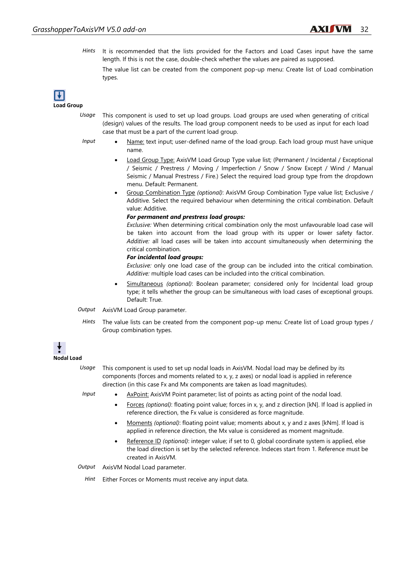*Hints* It is recommended that the lists provided for the Factors and Load Cases input have the same length. If this is not the case, double-check whether the values are paired as supposed.

The value list can be created from the component pop-up menu: Create list of Load combination types.



*Usage* This component is used to set up load groups. Load groups are used when generating of critical (design) values of the results. The load group component needs to be used as input for each load case that must be a part of the current load group.

- *Input* Name: text input; user-defined name of the load group. Each load group must have unique name.
	- Load Group Type: AxisVM Load Group Type value list; (Permanent / Incidental / Exceptional / Seismic / Prestress / Moving / Imperfection / Snow / Snow Except / Wind / Manual Seismic / Manual Prestress / Fire.) Select the required load group type from the dropdown menu. Default: Permanent.
	- Group Combination Type *(optional)*: AxisVM Group Combination Type value list; Exclusive / Additive. Select the required behaviour when determining the critical combination. Default value: Additive.

### *For permanent and prestress load groups:*

*Exclusive:* When determining critical combination only the most unfavourable load case will be taken into account from the load group with its upper or lower safety factor. *Additive:* all load cases will be taken into account simultaneously when determining the critical combination.

### *For incidental load groups:*

*Exclusive:* only one load case of the group can be included into the critical combination. *Additive:* multiple load cases can be included into the critical combination.

- Simultaneous *(optional)*: Boolean parameter; considered only for Incidental load group type; it tells whether the group can be simultaneous with load cases of exceptional groups. Default: True.
- *Output* AxisVM Load Group parameter.
- *Hints* The value lists can be created from the component pop-up menu: Create list of Load group types / Group combination types.



### **Nodal Load**

*Usage* This component is used to set up nodal loads in AxisVM. Nodal load may be defined by its components (forces and moments related to x, y, z axes) or nodal load is applied in reference direction (in this case Fx and Mx components are taken as load magnitudes).

- *Input* AxPoint: AxisVM Point parameter; list of points as acting point of the nodal load.
	- Forces *(optional)*: floating point value; forces in x, y, and z direction [kN]. If load is applied in reference direction, the Fx value is considered as force magnitude.
	- Moments *(optional)*: floating point value; moments about x, y and z axes [kNm]. If load is applied in reference direction, the Mx value is considered as moment magnitude.
	- Reference ID *(optional)*: integer value; if set to 0, global coordinate system is applied, else the load direction is set by the selected reference. Indeces start from 1. Reference must be created in AxisVM.

*Output* AxisVM Nodal Load parameter.

*Hint* Either Forces or Moments must receive any input data.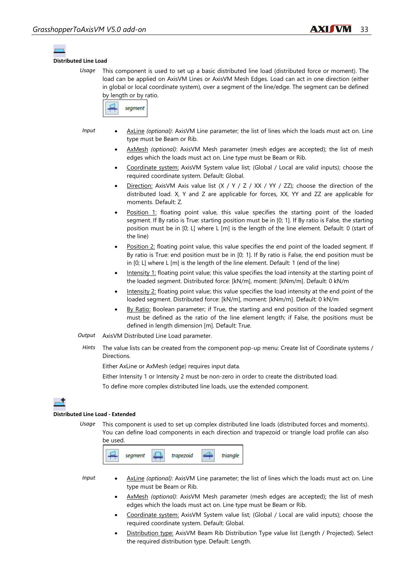### **Distributed Line Load**

*Usage* This component is used to set up a basic distributed line load (distributed force or moment). The load can be applied on AxisVM Lines or AxisVM Mesh Edges. Load can act in one direction (either in global or local coordinate system), over a segment of the line/edge. The segment can be defined by length or by ratio.

|--|--|

- *Input* AxLine *(optional)*: AxisVM Line parameter; the list of lines which the loads must act on. Line type must be Beam or Rib.
	- AxMesh *(optional)*: AxisVM Mesh parameter (mesh edges are accepted); the list of mesh edges which the loads must act on. Line type must be Beam or Rib.
	- Coordinate system: AxisVM System value list; (Global / Local are valid inputs); choose the required coordinate system. Default: Global.
	- Direction: AxisVM Axis value list  $(X / Y / Z / XX / YY / ZZ)$ ; choose the direction of the distributed load. X, Y and Z are applicable for forces, XX, YY and ZZ are applicable for moments. Default: Z.
	- Position 1: floating point value, this value specifies the starting point of the loaded segment. If By ratio is True: starting position must be in [0; 1]. If By ratio is False, the starting position must be in [0; L] where L [m] is the length of the line element. Default: 0 (start of the line)
	- **Position 2:** floating point value, this value specifies the end point of the loaded segment. If By ratio is True: end position must be in [0; 1]. If By ratio is False, the end position must be in [0; L] where L [m] is the length of the line element. Default: 1 (end of the line)
	- Intensity 1: floating point value; this value specifies the load intensity at the starting point of the loaded segment. Distributed force: [kN/m], moment: [kNm/m]. Default: 0 kN/m
	- Intensity 2: floating point value; this value specifies the load intensity at the end point of the loaded segment. Distributed force: [kN/m], moment: [kNm/m]. Default: 0 kN/m
	- By Ratio: Boolean parameter; if True, the starting and end position of the loaded segment must be defined as the ratio of the line element length; if False, the positions must be defined in length dimension [m]. Default: True.
- *Output* AxisVM Distributed Line Load parameter.
- *Hints* The value lists can be created from the component pop-up menu: Create list of Coordinate systems / Directions.

Either AxLine or AxMesh (edge) requires input data.

Either Intensity 1 or Intensity 2 must be non-zero in order to create the distributed load.

To define more complex distributed line loads, use the extended component.



### **Distributed Line Load - Extended**

*Usage* This component is used to set up complex distributed line loads (distributed forces and moments). You can define load components in each direction and trapezoid or triangle load profile can also be used.



- *Input* AxLine *(optional)*: AxisVM Line parameter; the list of lines which the loads must act on. Line type must be Beam or Rib.
	- AxMesh *(optional)*: AxisVM Mesh parameter (mesh edges are accepted); the list of mesh edges which the loads must act on. Line type must be Beam or Rib.
	- Coordinate system: AxisVM System value list; (Global / Local are valid inputs); choose the required coordinate system. Default: Global.
	- Distribution type: AxisVM Beam Rib Distribution Type value list (Length / Projected). Select the required distribution type. Default: Length.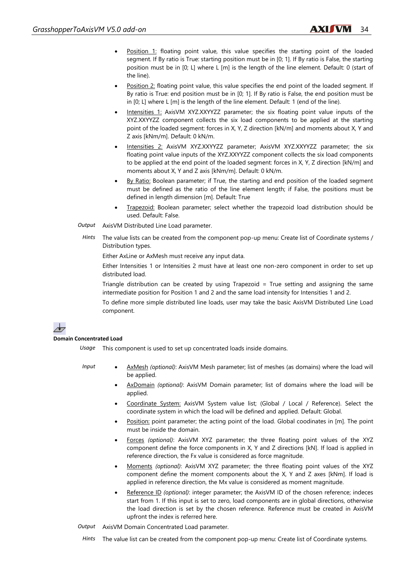- Position 1: floating point value, this value specifies the starting point of the loaded segment. If By ratio is True: starting position must be in [0; 1]. If By ratio is False, the starting position must be in [0; L] where L [m] is the length of the line element. Default: 0 (start of the line).
- Position 2: floating point value, this value specifies the end point of the loaded segment. If By ratio is True: end position must be in [0; 1]. If By ratio is False, the end position must be in [0; L] where L [m] is the length of the line element. Default: 1 (end of the line).
- Intensities 1: AxisVM XYZ.XXYYZZ parameter; the six floating point value inputs of the XYZ.XXYYZZ component collects the six load components to be applied at the starting point of the loaded segment: forces in X, Y, Z direction [kN/m] and moments about X, Y and Z axis [kNm/m]. Default: 0 kN/m.
- Intensities 2: AxisVM XYZ.XXYYZZ parameter; AxisVM XYZ.XXYYZZ parameter; the six floating point value inputs of the XYZ.XXYYZZ component collects the six load components to be applied at the end point of the loaded segment: forces in X, Y, Z direction [kN/m] and moments about X, Y and Z axis [kNm/m]. Default: 0 kN/m.
- By Ratio: Boolean parameter; if True, the starting and end position of the loaded segment must be defined as the ratio of the line element length; if False, the positions must be defined in length dimension [m]. Default: True
- Trapezoid: Boolean parameter; select whether the trapezoid load distribution should be used. Default: False.
- *Output* AxisVM Distributed Line Load parameter.
- *Hints* The value lists can be created from the component pop-up menu: Create list of Coordinate systems / Distribution types.

Either AxLine or AxMesh must receive any input data.

Either Intensities 1 or Intensities 2 must have at least one non-zero component in order to set up distributed load.

Triangle distribution can be created by using Trapezoid = True setting and assigning the same intermediate position for Position 1 and 2 and the same load intensity for Intensities 1 and 2.

To define more simple distributed line loads, user may take the basic AxisVM Distributed Line Load component.

## y

### **Domain Concentrated Load**

*Usage* This component is used to set up concentrated loads inside domains.

- 
- *Input* AxMesh *(optional)*: AxisVM Mesh parameter; list of meshes (as domains) where the load will be applied.
	- AxDomain *(optional)*: AxisVM Domain parameter; list of domains where the load will be applied.
	- Coordinate System: AxisVM System value list; (Global / Local / Reference). Select the coordinate system in which the load will be defined and applied. Default: Global.
	- Position: point parameter; the acting point of the load. Global coodinates in [m]. The point must be inside the domain.
	- Forces *(optional)*: AxisVM XYZ parameter; the three floating point values of the XYZ component define the force components in X, Y and Z directions [kN]. If load is applied in reference direction, the Fx value is considered as force magnitude.
	- Moments *(optional)*: AxisVM XYZ parameter; the three floating point values of the XYZ component define the moment components about the X, Y and Z axes [kNm]. If load is applied in reference direction, the Mx value is considered as moment magnitude.
	- Reference ID *(optional)*: integer parameter; the AxisVM ID of the chosen reference; indeces start from 1. If this input is set to zero, load components are in global directions, otherwise the load direction is set by the chosen reference. Reference must be created in AxisVM upfront the index is referred here.
- *Output* AxisVM Domain Concentrated Load parameter.
	- *Hints* The value list can be created from the component pop-up menu: Create list of Coordinate systems.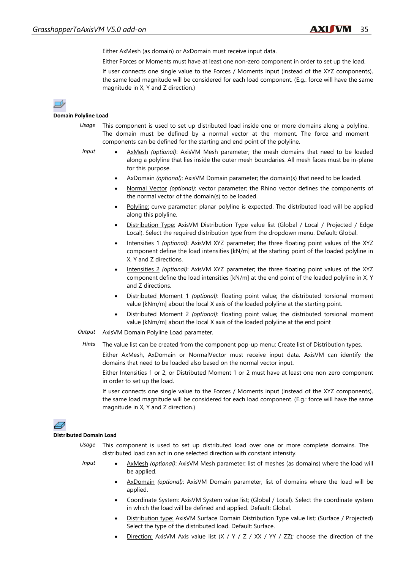Either AxMesh (as domain) or AxDomain must receive input data.

Either Forces or Moments must have at least one non-zero component in order to set up the load.

If user connects one single value to the Forces / Moments input (instead of the XYZ components), the same load magnitude will be considered for each load component. (E.g.: force will have the same magnitude in X, Y and Z direction.)



### **Domain Polyline Load**

*Usage* This component is used to set up distributed load inside one or more domains along a polyline. The domain must be defined by a normal vector at the moment. The force and moment components can be defined for the starting and end point of the polyline.

- *Input* AxMesh *(optional)*: AxisVM Mesh parameter; the mesh domains that need to be loaded along a polyline that lies inside the outer mesh boundaries. All mesh faces must be in-plane for this purpose.
	- AxDomain *(optional)*: AxisVM Domain parameter; the domain(s) that need to be loaded.
	- Normal Vector *(optional)*: vector parameter; the Rhino vector defines the components of the normal vector of the domain(s) to be loaded.
	- Polyline: curve parameter; planar polyline is expected. The distributed load will be applied along this polyline.
	- Distribution Type: AxisVM Distribution Type value list (Global / Local / Projected / Edge Local). Select the required distribution type from the dropdown menu. Default: Global.
	- Intensities 1 *(optional)*: AxisVM XYZ parameter; the three floating point values of the XYZ component define the load intensities [kN/m] at the starting point of the loaded polyline in X, Y and Z directions.
	- Intensities 2 *(optional)*: AxisVM XYZ parameter; the three floating point values of the XYZ component define the load intensities [kN/m] at the end point of the loaded polyline in X, Y and Z directions.
	- Distributed Moment 1 *(optional)*: floating point value; the distributed torsional moment value [kNm/m] about the local X axis of the loaded polyline at the starting point.
	- Distributed Moment 2 *(optional)*: floating point value; the distributed torsional moment value [kNm/m] about the local X axis of the loaded polyline at the end point
- *Output* AxisVM Domain Polyline Load parameter.

*Hints* The value list can be created from the component pop-up menu: Create list of Distribution types.

Either AxMesh, AxDomain or NormalVector must receive input data. AxisVM can identify the domains that need to be loaded also based on the normal vector input.

Either Intensities 1 or 2, or Distributed Moment 1 or 2 must have at least one non-zero component in order to set up the load.

If user connects one single value to the Forces / Moments input (instead of the XYZ components), the same load magnitude will be considered for each load component. (E.g.: force will have the same magnitude in X, Y and Z direction.)

### Þ

### **Distributed Domain Load**

*Usage* This component is used to set up distributed load over one or more complete domains. The distributed load can act in one selected direction with constant intensity.

- *Input* AxMesh *(optional)*: AxisVM Mesh parameter; list of meshes (as domains) where the load will be applied.
	- AxDomain *(optional)*: AxisVM Domain parameter; list of domains where the load will be applied.
	- Coordinate System: AxisVM System value list; (Global / Local). Select the coordinate system in which the load will be defined and applied. Default: Global.
	- Distribution type: AxisVM Surface Domain Distribution Type value list; (Surface / Projected) Select the type of the distributed load. Default: Surface.
	- Direction: AxisVM Axis value list (X / Y / Z / XX / YY / ZZ); choose the direction of the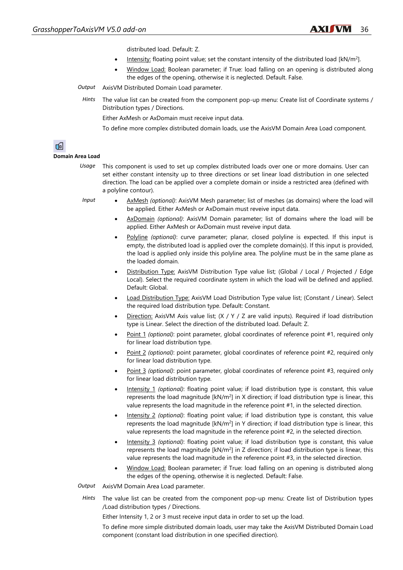distributed load. Default: Z.

- Intensity: floating point value; set the constant intensity of the distributed load [kN/m<sup>2</sup>].
- Window Load: Boolean parameter; if True: load falling on an opening is distributed along the edges of the opening, otherwise it is neglected. Default. False.
- *Output* AxisVM Distributed Domain Load parameter.
- *Hints* The value list can be created from the component pop-up menu: Create list of Coordinate systems / Distribution types / Directions.

Either AxMesh or AxDomain must receive input data.

To define more complex distributed domain loads, use the AxisVM Domain Area Load component.



### **Domain Area Load**

- *Usage* This component is used to set up complex distributed loads over one or more domains. User can set either constant intensity up to three directions or set linear load distribution in one selected direction. The load can be applied over a complete domain or inside a restricted area (defined with a polyline contour).
- 
- *Input* AxMesh *(optional)*: AxisVM Mesh parameter; list of meshes (as domains) where the load will be applied. Either AxMesh or AxDomain must reveive input data.
	- AxDomain *(optional)*: AxisVM Domain parameter; list of domains where the load will be applied. Either AxMesh or AxDomain must reveive input data.
	- Polyline *(optional)*: curve parameter; planar, closed polyline is expected. If this input is empty, the distributed load is applied over the complete domain(s). If this input is provided, the load is applied only inside this polyline area. The polyline must be in the same plane as the loaded domain.
	- Distribution Type: AxisVM Distribution Type value list; (Global / Local / Projected / Edge Local). Select the required coordinate system in which the load will be defined and applied. Default: Global.
	- **Load Distribution Type: AxisVM Load Distribution Type value list; (Constant / Linear). Select** the required load distribution type. Default: Constant.
	- Direction: AxisVM Axis value list; (X / Y / Z are valid inputs). Required if load distribution type is Linear. Select the direction of the distributed load. Default: Z.
	- Point 1 *(optional)*: point parameter, global coordinates of reference point #1, required only for linear load distribution type.
	- Point 2 *(optional)*: point parameter, global coordinates of reference point #2, required only for linear load distribution type.
	- Point 3 *(optional)*: point parameter, global coordinates of reference point #3, required only for linear load distribution type.
	- Intensity 1 *(optional)*: floating point value; if load distribution type is constant, this value represents the load magnitude  $[kN/m^2]$  in X direction; if load distribution type is linear, this value represents the load magnitude in the reference point #1, in the selected direction.
	- Intensity 2 *(optional)*: floating point value; if load distribution type is constant, this value represents the load magnitude  $[kN/m^2]$  in Y direction; if load distribution type is linear, this value represents the load magnitude in the reference point #2, in the selected direction.
	- Intensity 3 *(optional)*: floating point value; if load distribution type is constant, this value represents the load magnitude  $[kN/m^2]$  in Z direction; if load distribution type is linear, this value represents the load magnitude in the reference point #3, in the selected direction.
	- Window Load: Boolean parameter; if True: load falling on an opening is distributed along the edges of the opening, otherwise it is neglected. Default: False.
- *Output* AxisVM Domain Area Load parameter.
- *Hints* The value list can be created from the component pop-up menu: Create list of Distribution types /Load distribution types / Directions.

Either Intensity 1, 2 or 3 must receive input data in order to set up the load.

To define more simple distributed domain loads, user may take the AxisVM Distributed Domain Load component (constant load distribution in one specified direction).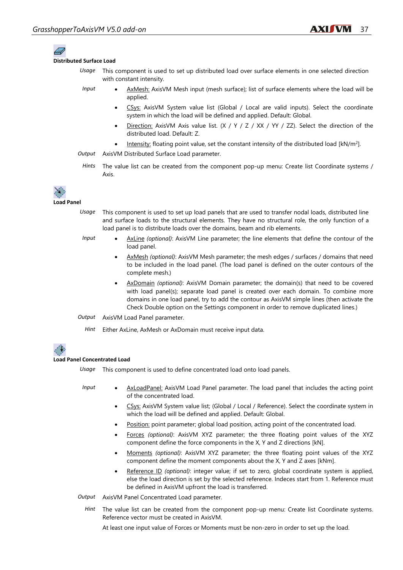### **Distributed Surface Load**

Ð

- *Usage* This component is used to set up distributed load over surface elements in one selected direction with constant intensity.
- *Input* AxMesh: AxisVM Mesh input (mesh surface); list of surface elements where the load will be applied.
	- CSys: AxisVM System value list (Global / Local are valid inputs). Select the coordinate system in which the load will be defined and applied. Default: Global.
	- Direction: AxisVM Axis value list. (X / Y / Z / XX / YY / ZZ). Select the direction of the distributed load. Default: Z.
	- Intensity: floating point value, set the constant intensity of the distributed load [kN/m<sup>2</sup>].

*Output* AxisVM Distributed Surface Load parameter.

*Hints* The value list can be created from the component pop-up menu: Create list Coordinate systems / Axis.



**Load Panel**

- *Usage* This component is used to set up load panels that are used to transfer nodal loads, distributed line and surface loads to the structural elements. They have no structural role, the only function of a load panel is to distribute loads over the domains, beam and rib elements.
- *Input* AxLine *(optional)*: AxisVM Line parameter; the line elements that define the contour of the load panel.
	- AxMesh *(optional)*: AxisVM Mesh parameter; the mesh edges / surfaces / domains that need to be included in the load panel. (The load panel is defined on the outer contours of the complete mesh.)
	- AxDomain *(optional)*: AxisVM Domain parameter; the domain(s) that need to be covered with load panel(s); separate load panel is created over each domain. To combine more domains in one load panel, try to add the contour as AxisVM simple lines (then activate the Check Double option on the Settings component in order to remove duplicated lines.)
- *Output* AxisVM Load Panel parameter.
	- *Hint* Either AxLine, AxMesh or AxDomain must receive input data.



### **Load Panel Concentrated Load**

*Usage* This component is used to define concentrated load onto load panels.

- *Input* AxLoadPanel: AxisVM Load Panel parameter. The load panel that includes the acting point of the concentrated load.
	- CSys: AxisVM System value list; (Global / Local / Reference). Select the coordinate system in which the load will be defined and applied. Default: Global.
	- Position: point parameter; global load position, acting point of the concentrated load.
	- Forces *(optional)*: AxisVM XYZ parameter; the three floating point values of the XYZ component define the force components in the X, Y and Z directions [kN].
	- Moments *(optional)*: AxisVM XYZ parameter; the three floating point values of the XYZ component define the moment components about the X, Y and Z axes [kNm].
	- Reference ID *(optional)*: integer value; if set to zero, global coordinate system is applied, else the load direction is set by the selected reference. Indeces start from 1. Reference must be defined in AxisVM upfront the load is transferred.
- *Output* AxisVM Panel Concentrated Load parameter.
	- *Hint* The value list can be created from the component pop-up menu: Create list Coordinate systems. Reference vector must be created in AxisVM.

At least one input value of Forces or Moments must be non-zero in order to set up the load.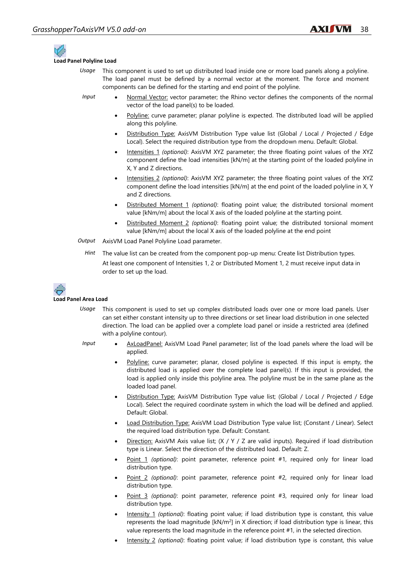**Load Panel Polyline Load**

*Usage* This component is used to set up distributed load inside one or more load panels along a polyline. The load panel must be defined by a normal vector at the moment. The force and moment components can be defined for the starting and end point of the polyline.

- *Input* Normal Vector: vector parameter; the Rhino vector defines the components of the normal vector of the load panel(s) to be loaded.
	- Polyline: curve parameter; planar polyline is expected. The distributed load will be applied along this polyline.
	- Distribution Type: AxisVM Distribution Type value list (Global / Local / Projected / Edge Local). Select the required distribution type from the dropdown menu. Default: Global.
	- Intensities 1 *(optional)*: AxisVM XYZ parameter; the three floating point values of the XYZ component define the load intensities [kN/m] at the starting point of the loaded polyline in X, Y and Z directions.
	- Intensities 2 *(optional)*: AxisVM XYZ parameter; the three floating point values of the XYZ component define the load intensities [kN/m] at the end point of the loaded polyline in X, Y and Z directions.
	- Distributed Moment 1 *(optional)*: floating point value; the distributed torsional moment value [kNm/m] about the local X axis of the loaded polyline at the starting point.
	- Distributed Moment 2 *(optional)*: floating point value; the distributed torsional moment value [kNm/m] about the local X axis of the loaded polyline at the end point
- *Output* AxisVM Load Panel Polyline Load parameter.
	- *Hint* The value list can be created from the component pop-up menu: Create list Distribution types. At least one component of Intensities 1, 2 or Distributed Moment 1, 2 must receive input data in order to set up the load.



### **Load Panel Area Load**

- *Usage* This component is used to set up complex distributed loads over one or more load panels. User can set either constant intensity up to three directions or set linear load distribution in one selected direction. The load can be applied over a complete load panel or inside a restricted area (defined with a polyline contour).
- 
- *Input* AxLoadPanel: AxisVM Load Panel parameter; list of the load panels where the load will be applied.
	- **Polyline:** curve parameter; planar, closed polyline is expected. If this input is empty, the distributed load is applied over the complete load panel(s). If this input is provided, the load is applied only inside this polyline area. The polyline must be in the same plane as the loaded load panel.
	- Distribution Type: AxisVM Distribution Type value list; (Global / Local / Projected / Edge Local). Select the required coordinate system in which the load will be defined and applied. Default: Global.
	- Load Distribution Type: AxisVM Load Distribution Type value list; (Constant / Linear). Select the required load distribution type. Default: Constant.
	- Direction: AxisVM Axis value list; (X / Y / Z are valid inputs). Required if load distribution type is Linear. Select the direction of the distributed load. Default: Z.
	- Point 1 *(optional)*: point parameter, reference point #1, required only for linear load distribution type.
	- Point 2 *(optional)*: point parameter, reference point #2, required only for linear load distribution type.
	- Point 3 *(optional)*: point parameter, reference point #3, required only for linear load distribution type.
	- Intensity 1 *(optional)*: floating point value; if load distribution type is constant, this value represents the load magnitude  $[kN/m^2]$  in X direction; if load distribution type is linear, this value represents the load magnitude in the reference point #1, in the selected direction.
	- Intensity 2 *(optional)*: floating point value; if load distribution type is constant, this value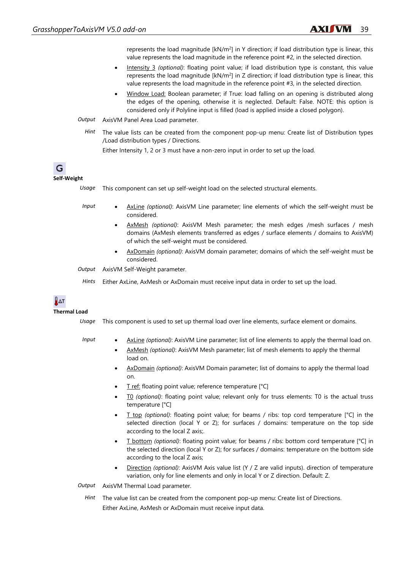represents the load magnitude  $[kN/m^2]$  in Y direction; if load distribution type is linear, this value represents the load magnitude in the reference point #2, in the selected direction.

- Intensity 3 *(optional)*: floating point value; if load distribution type is constant, this value represents the load magnitude  $[kN/m^2]$  in Z direction; if load distribution type is linear, this value represents the load magnitude in the reference point #3, in the selected direction.
- Window Load: Boolean parameter; if True: load falling on an opening is distributed along the edges of the opening, otherwise it is neglected. Default: False. NOTE: this option is considered only if Polyline input is filled (load is applied inside a closed polygon).
- *Output* AxisVM Panel Area Load parameter.
	- *Hint* The value lists can be created from the component pop-up menu: Create list of Distribution types /Load distribution types / Directions.

Either Intensity 1, 2 or 3 must have a non-zero input in order to set up the load.

## G

**Self-Weight**

*Usage* This component can set up self-weight load on the selected structural elements.

- *Input* AxLine *(optional)*: AxisVM Line parameter; line elements of which the self-weight must be considered.
	- AxMesh *(optional)*: AxisVM Mesh parameter; the mesh edges /mesh surfaces / mesh domains (AxMesh elements transferred as edges / surface elements / domains to AxisVM) of which the self-weight must be considered.
	- AxDomain *(optional)*: AxisVM domain parameter; domains of which the self-weight must be considered.

*Output* AxisVM Self-Weight parameter.

*Hints* Either AxLine, AxMesh or AxDomain must receive input data in order to set up the load.

## ∦дт

### **Thermal Load**

*Usage* This component is used to set up thermal load over line elements, surface element or domains.

- *Input* AxLine *(optional)*: AxisVM Line parameter; list of line elements to apply the thermal load on.
	- AxMesh *(optional)*: AxisVM Mesh parameter; list of mesh elements to apply the thermal load on.
	- AxDomain *(optional)*: AxisVM Domain parameter; list of domains to apply the thermal load on.
	- T ref: floating point value; reference temperature [°C]
	- T0 *(optional)*: floating point value; relevant only for truss elements: T0 is the actual truss temperature [°C]
	- T top *(optional)*: floating point value; for beams / ribs: top cord temperature [°C] in the selected direction (local Y or Z); for surfaces / domains: temperature on the top side according to the local Z axis;.
	- T bottom *(optional)*: floating point value; for beams / ribs: bottom cord temperature [°C] in the selected direction (local Y or Z); for surfaces / domains: temperature on the bottom side according to the local Z axis;
	- Direction *(optional)*: AxisVM Axis value list (Y / Z are valid inputs). direction of temperature variation, only for line elements and only in local Y or Z direction. Default: Z.
- *Output* AxisVM Thermal Load parameter.
	- *Hint* The value list can be created from the component pop-up menu: Create list of Directions. Either AxLine, AxMesh or AxDomain must receive input data.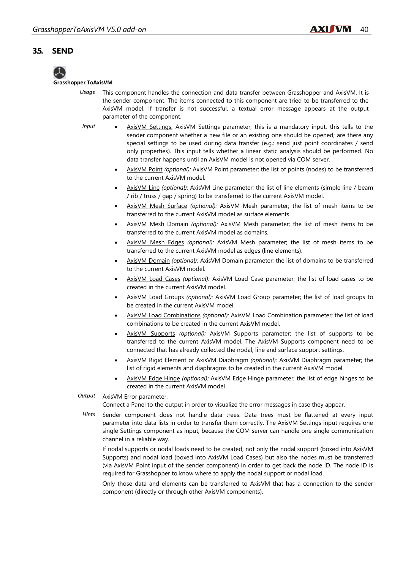### <span id="page-39-0"></span>**3.5. SEND**



#### **Grasshopper ToAxisVM**

- *Usage* This component handles the connection and data transfer between Grasshopper and AxisVM. It is the sender component. The items connected to this component are tried to be transferred to the AxisVM model. If transfer is not successful, a textual error message appears at the output parameter of the component.
- *Input* AxisVM Settings: AxisVM Settings parameter; this is a mandatory input, this tells to the sender component whether a new file or an existing one should be opened; are there any special settings to be used during data transfer (e.g.: send just point coordinates / send only properties). This input tells whether a linear static analysis should be performed. No data transfer happens until an AxisVM model is not opened via COM server.
	- AxisVM Point *(optional):* AxisVM Point parameter; the list of points (nodes) to be transferred to the current AxisVM model.
	- AxisVM Line *(optional):* AxisVM Line parameter; the list of line elements (simple line / beam / rib / truss / gap / spring) to be transferred to the current AxisVM model.
	- AxisVM Mesh Surface *(optional):* AxisVM Mesh parameter; the list of mesh items to be transferred to the current AxisVM model as surface elements.
	- AxisVM Mesh Domain *(optional):* AxisVM Mesh parameter; the list of mesh items to be transferred to the current AxisVM model as domains.
	- AxisVM Mesh Edges *(optional):* AxisVM Mesh parameter; the list of mesh items to be transferred to the current AxisVM model as edges (line elements).
	- AxisVM Domain *(optional):* AxisVM Domain parameter; the list of domains to be transferred to the current AxisVM model.
	- AxisVM Load Cases *(optional):* AxisVM Load Case parameter; the list of load cases to be created in the current AxisVM model.
	- AxisVM Load Groups *(optional):* AxisVM Load Group parameter; the list of load groups to be created in the current AxisVM model.
	- AxisVM Load Combinations *(optional):* AxisVM Load Combination parameter; the list of load combinations to be created in the current AxisVM model.
	- AxisVM Supports *(optional):* AxisVM Supports parameter; the list of supports to be transferred to the current AxisVM model. The AxisVM Supports component need to be connected that has already collected the nodal, line and surface support settings.
	- AxisVM Rigid Element or AxisVM Diaphragm *(optional):* AxisVM Diaphragm parameter; the list of rigid elements and diaphragms to be created in the current AxisVM model.
	- AxisVM Edge Hinge *(optional):* AxisVM Edge Hinge parameter; the list of edge hinges to be created in the current AxisVM model

*Output* AxisVM Error parameter.

Connect a Panel to the output in order to visualize the error messages in case they appear.

*Hints* Sender component does not handle data trees. Data trees must be flattened at every input parameter into data lists in order to transfer them correctly. The AxisVM Settings input requires one single Settings component as input, because the COM server can handle one single communication channel in a reliable way.

If nodal supports or nodal loads need to be created, not only the nodal support (boxed into AxisVM Supports) and nodal load (boxed into AxisVM Load Cases) but also the nodes must be transferred (via AxisVM Point input of the sender component) in order to get back the node ID. The node ID is required for Grasshopper to know where to apply the nodal support or nodal load.

Only those data and elements can be transferred to AxisVM that has a connection to the sender component (directly or through other AxisVM components).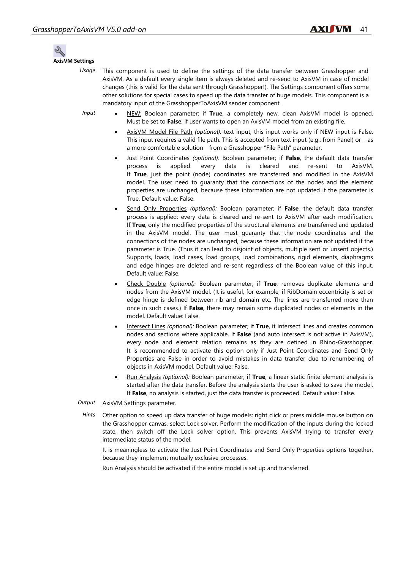

*Usage* This component is used to define the settings of the data transfer between Grasshopper and AxisVM. As a default every single item is always deleted and re-send to AxisVM in case of model changes (this is valid for the data sent through Grasshopper!). The Settings component offers some other solutions for special cases to speed up the data transfer of huge models. This component is a mandatory input of the GrasshopperToAxisVM sender component.

- 
- *Input* NEW: Boolean parameter; if **True**, a completely new, clean AxisVM model is opened. Must be set to **False**, if user wants to open an AxisVM model from an existing file.
	- AxisVM Model File Path *(optional):* text input; this input works only if NEW input is False. This input requires a valid file path. This is accepted from text input (e.g.: from Panel) or – as a more comfortable solution - from a Grasshopper "File Path" parameter.
	- Just Point Coordinates *(optional):* Boolean parameter; if **False**, the default data transfer process is applied: every data is cleared and re-sent to AxisVM. If **True**, just the point (node) coordinates are transferred and modified in the AxisVM model. The user need to guaranty that the connections of the nodes and the element properties are unchanged, because these information are not updated if the parameter is True. Default value: False.
	- Send Only Properties *(optional):* Boolean parameter; if **False**, the default data transfer process is applied: every data is cleared and re-sent to AxisVM after each modification. If **True**, only the modified properties of the structural elements are transferred and updated in the AxisVM model. The user must guaranty that the node coordinates and the connections of the nodes are unchanged, because these information are not updated if the parameter is True. (Thus it can lead to disjoint of objects, multiple sent or unsent objects.) Supports, loads, load cases, load groups, load combinations, rigid elements, diaphragms and edge hinges are deleted and re-sent regardless of the Boolean value of this input. Default value: False.
	- Check Double *(optional):* Boolean parameter; if **True**, removes duplicate elements and nodes from the AxisVM model. (It is useful, for example, if RibDomain eccentricity is set or edge hinge is defined between rib and domain etc. The lines are transferred more than once in such cases.) If **False**, there may remain some duplicated nodes or elements in the model. Default value: False.
	- Intersect Lines *(optional):* Boolean parameter; if **True**, it intersect lines and creates common nodes and sections where applicable. If **False** (and auto intersect is not active in AxisVM), every node and element relation remains as they are defined in Rhino-Grasshopper. It is recommended to activate this option only if Just Point Coordinates and Send Only Properties are False in order to avoid mistakes in data transfer due to renumbering of objects in AxisVM model. Default value: False.
	- Run Analysis *(optional):* Boolean parameter; if **True**, a linear static finite element analysis is started after the data transfer. Before the analysis starts the user is asked to save the model. If **False**, no analysis is started, just the data transfer is proceeded. Default value: False.

*Output* AxisVM Settings parameter.

Hints Other option to speed up data transfer of huge models: right click or press middle mouse button on the Grasshopper canvas, select Lock solver. Perform the modification of the inputs during the locked state, then switch off the Lock solver option. This prevents AxisVM trying to transfer every intermediate status of the model.

It is meaningless to activate the Just Point Coordinates and Send Only Properties options together, because they implement mutually exclusive processes.

Run Analysis should be activated if the entire model is set up and transferred.